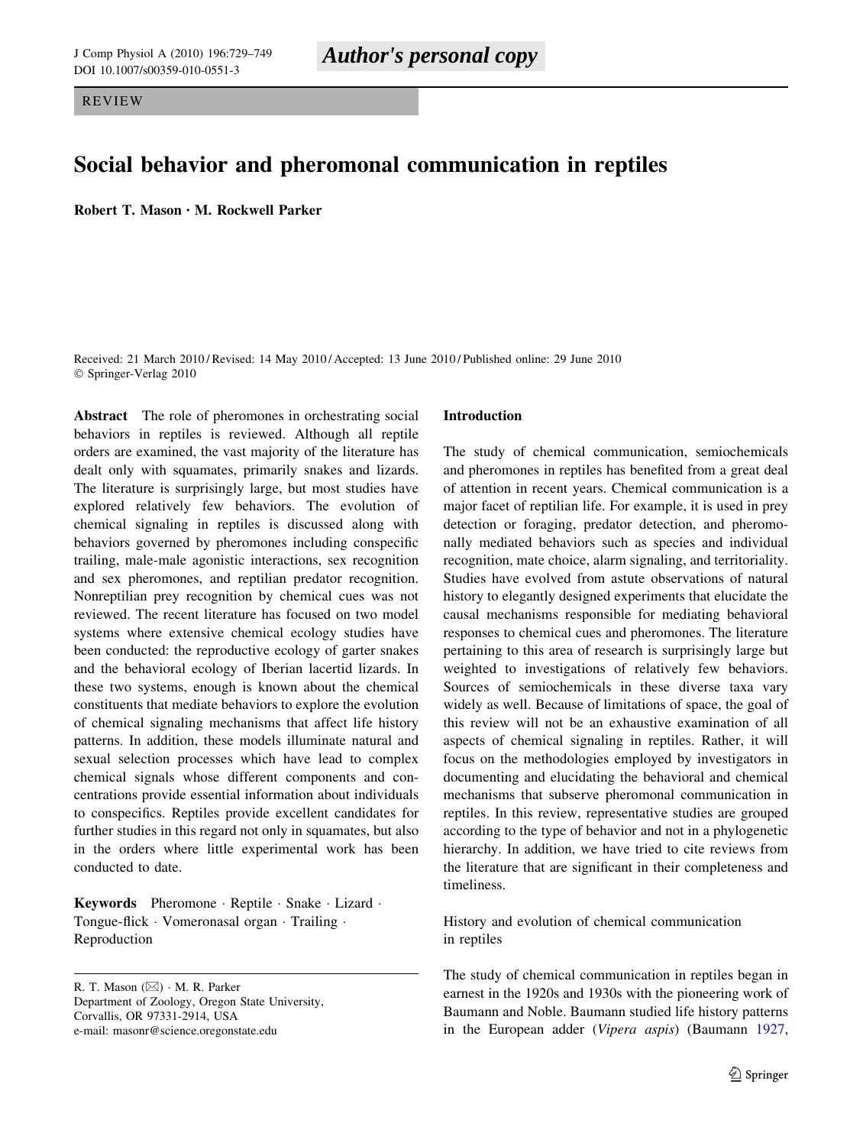REVIEW

# Social behavior and pheromonal communication in reptiles

Robert T. Mason • M. Rockwell Parker

Received: 21 March 2010/Revised: 14 May 2010/Accepted: 13 June 2010/Published online: 29 June 2010 © Springer-Verlag 2010

Abstract The role of pheromones in orchestrating social behaviors in reptiles is reviewed. Although all reptile orders are examined, the vast majority of the literature has dealt only with squamates, primarily snakes and lizards. The literature is surprisingly large, but most studies have explored relatively few behaviors. The evolution of chemical signaling in reptiles is discussed along with behaviors governed by pheromones including conspecific trailing, male-male agonistic interactions, sex recognition and sex pheromones, and reptilian predator recognition. Nonreptilian prey recognition by chemical cues was not reviewed. The recent literature has focused on two model systems where extensive chemical ecology studies have been conducted: the reproductive ecology of garter snakes and the behavioral ecology of Iberian lacertid lizards. In these two systems, enough is known about the chemical constituents that mediate behaviors to explore the evolution of chemical signaling mechanisms that affect life history patterns. In addition, these models illuminate natural and sexual selection processes which have lead to complex chemical signals whose different components and concentrations provide essential information about individuals to conspecifics. Reptiles provide excellent candidates for further studies in this regard not only in squamates, but also in the orders where little experimental work has been conducted to date.

Keywords Pheromone - Reptile - Snake - Lizard - Tongue-flick - Vomeronasal organ - Trailing - Reproduction

R. T. Mason (⊠) · M. R. Parker Department of Zoology, Oregon State University, Corvallis, OR 97331-2914, USA e-mail: masonr@science.oregonstate.edu

## Introduction

The study of chemical communication, semiochemicals and pheromones in reptiles has benefited from a great deal of attention in recent years. Chemical communication is a major facet of reptilian life. For example, it is used in prey detection or foraging, predator detection, and pheromonally mediated behaviors such as species and individual recognition, mate choice, alarm signaling, and territoriality. Studies have evolved from astute observations of natural history to elegantly designed experiments that elucidate the causal mechanisms responsible for mediating behavioral responses to chemical cues and pheromones. The literature pertaining to this area of research is surprisingly large but weighted to investigations of relatively few behaviors. Sources of semiochemicals in these diverse taxa vary widely as well. Because of limitations of space, the goal of this review will not be an exhaustive examination of all aspects of chemical signaling in reptiles. Rather, it will focus on the methodologies employed by investigators in documenting and elucidating the behavioral and chemical mechanisms that subserve pheromonal communication in reptiles. In this review, representative studies are grouped according to the type of behavior and not in a phylogenetic hierarchy. In addition, we have tried to cite reviews from the literature that are significant in their completeness and timeliness.

History and evolution of chemical communication in reptiles

The study of chemical communication in reptiles began in earnest in the 1920s and 1930s with the pioneering work of Baumann and Noble. Baumann studied life history patterns in the European adder (Vipera aspis) (Baumann [1927,](#page-15-0)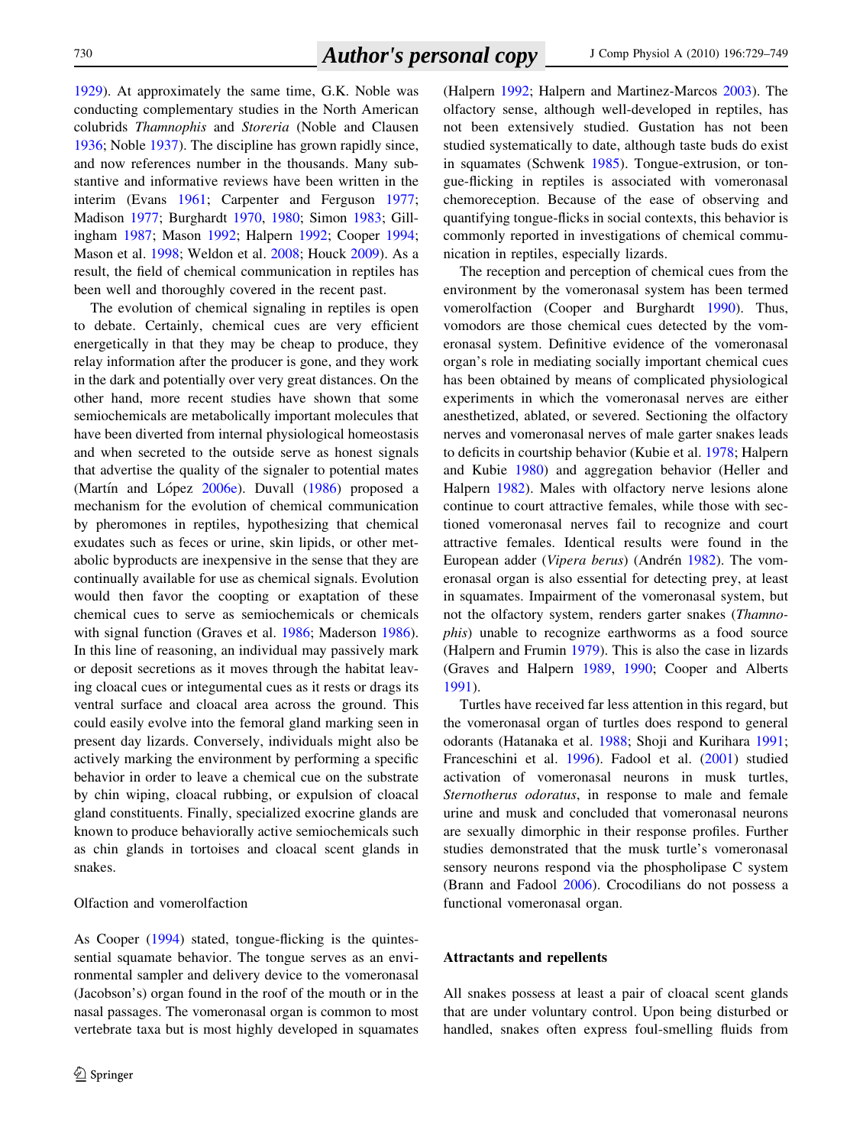[1929\)](#page-15-0). At approximately the same time, G.K. Noble was conducting complementary studies in the North American colubrids Thamnophis and Storeria (Noble and Clausen [1936;](#page-19-0) Noble [1937](#page-19-0)). The discipline has grown rapidly since, and now references number in the thousands. Many substantive and informative reviews have been written in the interim (Evans [1961;](#page-16-0) Carpenter and Ferguson [1977](#page-16-0); Madison [1977;](#page-18-0) Burghardt [1970,](#page-15-0) [1980](#page-16-0); Simon [1983;](#page-19-0) Gillingham [1987](#page-17-0); Mason [1992](#page-18-0); Halpern [1992](#page-17-0); Cooper [1994](#page-16-0); Mason et al. [1998;](#page-19-0) Weldon et al. [2008;](#page-20-0) Houck [2009](#page-17-0)). As a result, the field of chemical communication in reptiles has been well and thoroughly covered in the recent past.

The evolution of chemical signaling in reptiles is open to debate. Certainly, chemical cues are very efficient energetically in that they may be cheap to produce, they relay information after the producer is gone, and they work in the dark and potentially over very great distances. On the other hand, more recent studies have shown that some semiochemicals are metabolically important molecules that have been diverted from internal physiological homeostasis and when secreted to the outside serve as honest signals that advertise the quality of the signaler to potential mates (Martín and López  $2006e$ ). Duvall ([1986](#page-16-0)) proposed a mechanism for the evolution of chemical communication by pheromones in reptiles, hypothesizing that chemical exudates such as feces or urine, skin lipids, or other metabolic byproducts are inexpensive in the sense that they are continually available for use as chemical signals. Evolution would then favor the coopting or exaptation of these chemical cues to serve as semiochemicals or chemicals with signal function (Graves et al. [1986](#page-17-0); Maderson [1986](#page-18-0)). In this line of reasoning, an individual may passively mark or deposit secretions as it moves through the habitat leaving cloacal cues or integumental cues as it rests or drags its ventral surface and cloacal area across the ground. This could easily evolve into the femoral gland marking seen in present day lizards. Conversely, individuals might also be actively marking the environment by performing a specific behavior in order to leave a chemical cue on the substrate by chin wiping, cloacal rubbing, or expulsion of cloacal gland constituents. Finally, specialized exocrine glands are known to produce behaviorally active semiochemicals such as chin glands in tortoises and cloacal scent glands in snakes.

# Olfaction and vomerolfaction

As Cooper [\(1994](#page-16-0)) stated, tongue-flicking is the quintessential squamate behavior. The tongue serves as an environmental sampler and delivery device to the vomeronasal (Jacobson's) organ found in the roof of the mouth or in the nasal passages. The vomeronasal organ is common to most vertebrate taxa but is most highly developed in squamates (Halpern [1992](#page-17-0); Halpern and Martinez-Marcos [2003](#page-17-0)). The olfactory sense, although well-developed in reptiles, has not been extensively studied. Gustation has not been studied systematically to date, although taste buds do exist in squamates (Schwenk [1985\)](#page-19-0). Tongue-extrusion, or tongue-flicking in reptiles is associated with vomeronasal chemoreception. Because of the ease of observing and quantifying tongue-flicks in social contexts, this behavior is commonly reported in investigations of chemical communication in reptiles, especially lizards.

The reception and perception of chemical cues from the environment by the vomeronasal system has been termed vomerolfaction (Cooper and Burghardt [1990\)](#page-16-0). Thus, vomodors are those chemical cues detected by the vomeronasal system. Definitive evidence of the vomeronasal organ's role in mediating socially important chemical cues has been obtained by means of complicated physiological experiments in which the vomeronasal nerves are either anesthetized, ablated, or severed. Sectioning the olfactory nerves and vomeronasal nerves of male garter snakes leads to deficits in courtship behavior (Kubie et al. [1978;](#page-17-0) Halpern and Kubie [1980](#page-17-0)) and aggregation behavior (Heller and Halpern [1982\)](#page-17-0). Males with olfactory nerve lesions alone continue to court attractive females, while those with sectioned vomeronasal nerves fail to recognize and court attractive females. Identical results were found in the European adder (Vipera berus) (Andrén [1982](#page-15-0)). The vomeronasal organ is also essential for detecting prey, at least in squamates. Impairment of the vomeronasal system, but not the olfactory system, renders garter snakes (Thamnophis) unable to recognize earthworms as a food source (Halpern and Frumin [1979](#page-17-0)). This is also the case in lizards (Graves and Halpern [1989](#page-17-0), [1990](#page-17-0); Cooper and Alberts [1991](#page-16-0)).

Turtles have received far less attention in this regard, but the vomeronasal organ of turtles does respond to general odorants (Hatanaka et al. [1988](#page-17-0); Shoji and Kurihara [1991](#page-19-0); Franceschini et al. [1996\)](#page-17-0). Fadool et al. ([2001\)](#page-16-0) studied activation of vomeronasal neurons in musk turtles, Sternotherus odoratus, in response to male and female urine and musk and concluded that vomeronasal neurons are sexually dimorphic in their response profiles. Further studies demonstrated that the musk turtle's vomeronasal sensory neurons respond via the phospholipase C system (Brann and Fadool [2006\)](#page-15-0). Crocodilians do not possess a functional vomeronasal organ.

#### Attractants and repellents

All snakes possess at least a pair of cloacal scent glands that are under voluntary control. Upon being disturbed or handled, snakes often express foul-smelling fluids from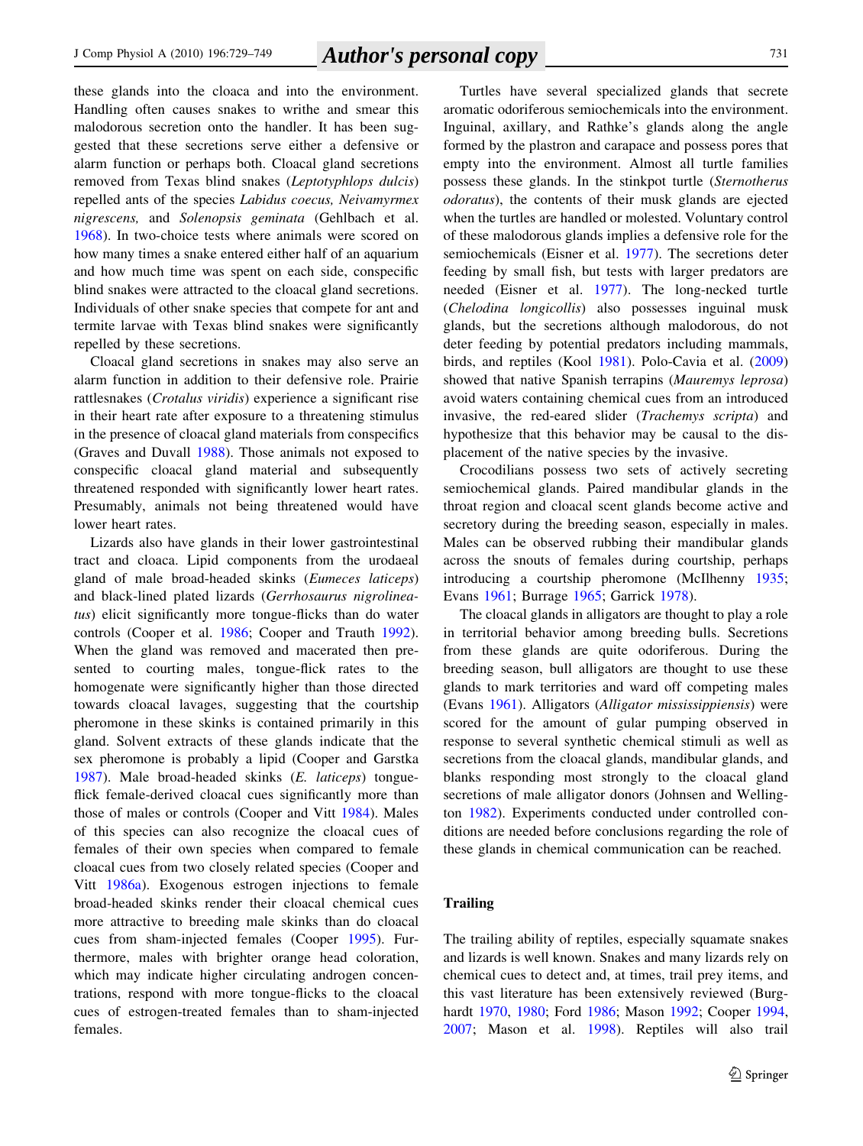these glands into the cloaca and into the environment. Handling often causes snakes to writhe and smear this malodorous secretion onto the handler. It has been suggested that these secretions serve either a defensive or alarm function or perhaps both. Cloacal gland secretions removed from Texas blind snakes (Leptotyphlops dulcis) repelled ants of the species Labidus coecus, Neivamyrmex nigrescens, and Solenopsis geminata (Gehlbach et al. [1968\)](#page-17-0). In two-choice tests where animals were scored on how many times a snake entered either half of an aquarium and how much time was spent on each side, conspecific blind snakes were attracted to the cloacal gland secretions. Individuals of other snake species that compete for ant and termite larvae with Texas blind snakes were significantly repelled by these secretions.

Cloacal gland secretions in snakes may also serve an alarm function in addition to their defensive role. Prairie rattlesnakes (Crotalus viridis) experience a significant rise in their heart rate after exposure to a threatening stimulus in the presence of cloacal gland materials from conspecifics (Graves and Duvall [1988\)](#page-17-0). Those animals not exposed to conspecific cloacal gland material and subsequently threatened responded with significantly lower heart rates. Presumably, animals not being threatened would have lower heart rates.

Lizards also have glands in their lower gastrointestinal tract and cloaca. Lipid components from the urodaeal gland of male broad-headed skinks (Eumeces laticeps) and black-lined plated lizards (Gerrhosaurus nigrolineatus) elicit significantly more tongue-flicks than do water controls (Cooper et al. [1986](#page-16-0); Cooper and Trauth [1992](#page-16-0)). When the gland was removed and macerated then presented to courting males, tongue-flick rates to the homogenate were significantly higher than those directed towards cloacal lavages, suggesting that the courtship pheromone in these skinks is contained primarily in this gland. Solvent extracts of these glands indicate that the sex pheromone is probably a lipid (Cooper and Garstka [1987\)](#page-16-0). Male broad-headed skinks (E. laticeps) tongueflick female-derived cloacal cues significantly more than those of males or controls (Cooper and Vitt [1984](#page-16-0)). Males of this species can also recognize the cloacal cues of females of their own species when compared to female cloacal cues from two closely related species (Cooper and Vitt [1986a\)](#page-16-0). Exogenous estrogen injections to female broad-headed skinks render their cloacal chemical cues more attractive to breeding male skinks than do cloacal cues from sham-injected females (Cooper [1995\)](#page-16-0). Furthermore, males with brighter orange head coloration, which may indicate higher circulating androgen concentrations, respond with more tongue-flicks to the cloacal cues of estrogen-treated females than to sham-injected females.

Turtles have several specialized glands that secrete aromatic odoriferous semiochemicals into the environment. Inguinal, axillary, and Rathke's glands along the angle formed by the plastron and carapace and possess pores that empty into the environment. Almost all turtle families possess these glands. In the stinkpot turtle (Sternotherus odoratus), the contents of their musk glands are ejected when the turtles are handled or molested. Voluntary control of these malodorous glands implies a defensive role for the semiochemicals (Eisner et al. [1977](#page-16-0)). The secretions deter feeding by small fish, but tests with larger predators are needed (Eisner et al. [1977\)](#page-16-0). The long-necked turtle (Chelodina longicollis) also possesses inguinal musk glands, but the secretions although malodorous, do not deter feeding by potential predators including mammals, birds, and reptiles (Kool [1981\)](#page-17-0). Polo-Cavia et al. ([2009\)](#page-19-0) showed that native Spanish terrapins (Mauremys leprosa) avoid waters containing chemical cues from an introduced invasive, the red-eared slider (Trachemys scripta) and hypothesize that this behavior may be causal to the displacement of the native species by the invasive.

Crocodilians possess two sets of actively secreting semiochemical glands. Paired mandibular glands in the throat region and cloacal scent glands become active and secretory during the breeding season, especially in males. Males can be observed rubbing their mandibular glands across the snouts of females during courtship, perhaps introducing a courtship pheromone (McIlhenny [1935](#page-19-0); Evans [1961;](#page-16-0) Burrage [1965;](#page-16-0) Garrick [1978](#page-17-0)).

The cloacal glands in alligators are thought to play a role in territorial behavior among breeding bulls. Secretions from these glands are quite odoriferous. During the breeding season, bull alligators are thought to use these glands to mark territories and ward off competing males (Evans [1961\)](#page-16-0). Alligators (Alligator mississippiensis) were scored for the amount of gular pumping observed in response to several synthetic chemical stimuli as well as secretions from the cloacal glands, mandibular glands, and blanks responding most strongly to the cloacal gland secretions of male alligator donors (Johnsen and Wellington [1982](#page-17-0)). Experiments conducted under controlled conditions are needed before conclusions regarding the role of these glands in chemical communication can be reached.

## Trailing

The trailing ability of reptiles, especially squamate snakes and lizards is well known. Snakes and many lizards rely on chemical cues to detect and, at times, trail prey items, and this vast literature has been extensively reviewed (Burghardt [1970](#page-15-0), [1980](#page-16-0); Ford [1986](#page-16-0); Mason [1992](#page-18-0); Cooper [1994,](#page-16-0) [2007](#page-16-0); Mason et al. [1998](#page-19-0)). Reptiles will also trail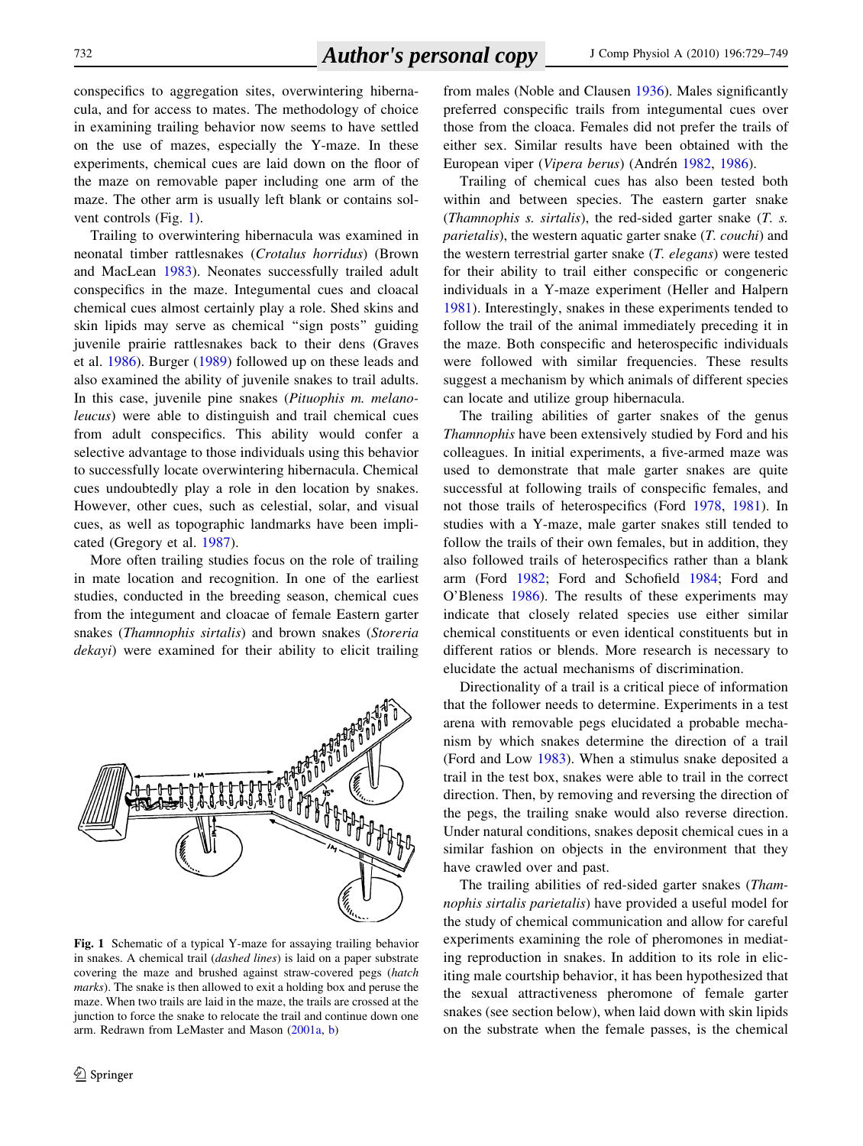conspecifics to aggregation sites, overwintering hibernacula, and for access to mates. The methodology of choice in examining trailing behavior now seems to have settled on the use of mazes, especially the Y-maze. In these experiments, chemical cues are laid down on the floor of the maze on removable paper including one arm of the maze. The other arm is usually left blank or contains solvent controls (Fig. 1).

Trailing to overwintering hibernacula was examined in neonatal timber rattlesnakes (Crotalus horridus) (Brown and MacLean [1983\)](#page-15-0). Neonates successfully trailed adult conspecifics in the maze. Integumental cues and cloacal chemical cues almost certainly play a role. Shed skins and skin lipids may serve as chemical ''sign posts'' guiding juvenile prairie rattlesnakes back to their dens (Graves et al. [1986\)](#page-17-0). Burger ([1989\)](#page-15-0) followed up on these leads and also examined the ability of juvenile snakes to trail adults. In this case, juvenile pine snakes (Pituophis m. melanoleucus) were able to distinguish and trail chemical cues from adult conspecifics. This ability would confer a selective advantage to those individuals using this behavior to successfully locate overwintering hibernacula. Chemical cues undoubtedly play a role in den location by snakes. However, other cues, such as celestial, solar, and visual cues, as well as topographic landmarks have been implicated (Gregory et al. [1987](#page-17-0)).

More often trailing studies focus on the role of trailing in mate location and recognition. In one of the earliest studies, conducted in the breeding season, chemical cues from the integument and cloacae of female Eastern garter snakes (Thamnophis sirtalis) and brown snakes (Storeria dekayi) were examined for their ability to elicit trailing



Fig. 1 Schematic of a typical Y-maze for assaying trailing behavior in snakes. A chemical trail (dashed lines) is laid on a paper substrate covering the maze and brushed against straw-covered pegs (hatch marks). The snake is then allowed to exit a holding box and peruse the maze. When two trails are laid in the maze, the trails are crossed at the junction to force the snake to relocate the trail and continue down one arm. Redrawn from LeMaster and Mason [\(2001a,](#page-17-0) [b](#page-17-0))

from males (Noble and Clausen [1936](#page-19-0)). Males significantly preferred conspecific trails from integumental cues over those from the cloaca. Females did not prefer the trails of either sex. Similar results have been obtained with the European viper (*Vipera berus*) (Andrén [1982,](#page-15-0) [1986\)](#page-15-0).

Trailing of chemical cues has also been tested both within and between species. The eastern garter snake (Thamnophis s. sirtalis), the red-sided garter snake  $(T. s.$ parietalis), the western aquatic garter snake (T. couchi) and the western terrestrial garter snake (T. elegans) were tested for their ability to trail either conspecific or congeneric individuals in a Y-maze experiment (Heller and Halpern [1981](#page-17-0)). Interestingly, snakes in these experiments tended to follow the trail of the animal immediately preceding it in the maze. Both conspecific and heterospecific individuals were followed with similar frequencies. These results suggest a mechanism by which animals of different species can locate and utilize group hibernacula.

The trailing abilities of garter snakes of the genus Thamnophis have been extensively studied by Ford and his colleagues. In initial experiments, a five-armed maze was used to demonstrate that male garter snakes are quite successful at following trails of conspecific females, and not those trails of heterospecifics (Ford [1978](#page-16-0), [1981](#page-16-0)). In studies with a Y-maze, male garter snakes still tended to follow the trails of their own females, but in addition, they also followed trails of heterospecifics rather than a blank arm (Ford [1982](#page-16-0); Ford and Schofield [1984;](#page-16-0) Ford and O'Bleness [1986\)](#page-16-0). The results of these experiments may indicate that closely related species use either similar chemical constituents or even identical constituents but in different ratios or blends. More research is necessary to elucidate the actual mechanisms of discrimination.

Directionality of a trail is a critical piece of information that the follower needs to determine. Experiments in a test arena with removable pegs elucidated a probable mechanism by which snakes determine the direction of a trail (Ford and Low [1983\)](#page-16-0). When a stimulus snake deposited a trail in the test box, snakes were able to trail in the correct direction. Then, by removing and reversing the direction of the pegs, the trailing snake would also reverse direction. Under natural conditions, snakes deposit chemical cues in a similar fashion on objects in the environment that they have crawled over and past.

The trailing abilities of red-sided garter snakes (Thamnophis sirtalis parietalis) have provided a useful model for the study of chemical communication and allow for careful experiments examining the role of pheromones in mediating reproduction in snakes. In addition to its role in eliciting male courtship behavior, it has been hypothesized that the sexual attractiveness pheromone of female garter snakes (see section below), when laid down with skin lipids on the substrate when the female passes, is the chemical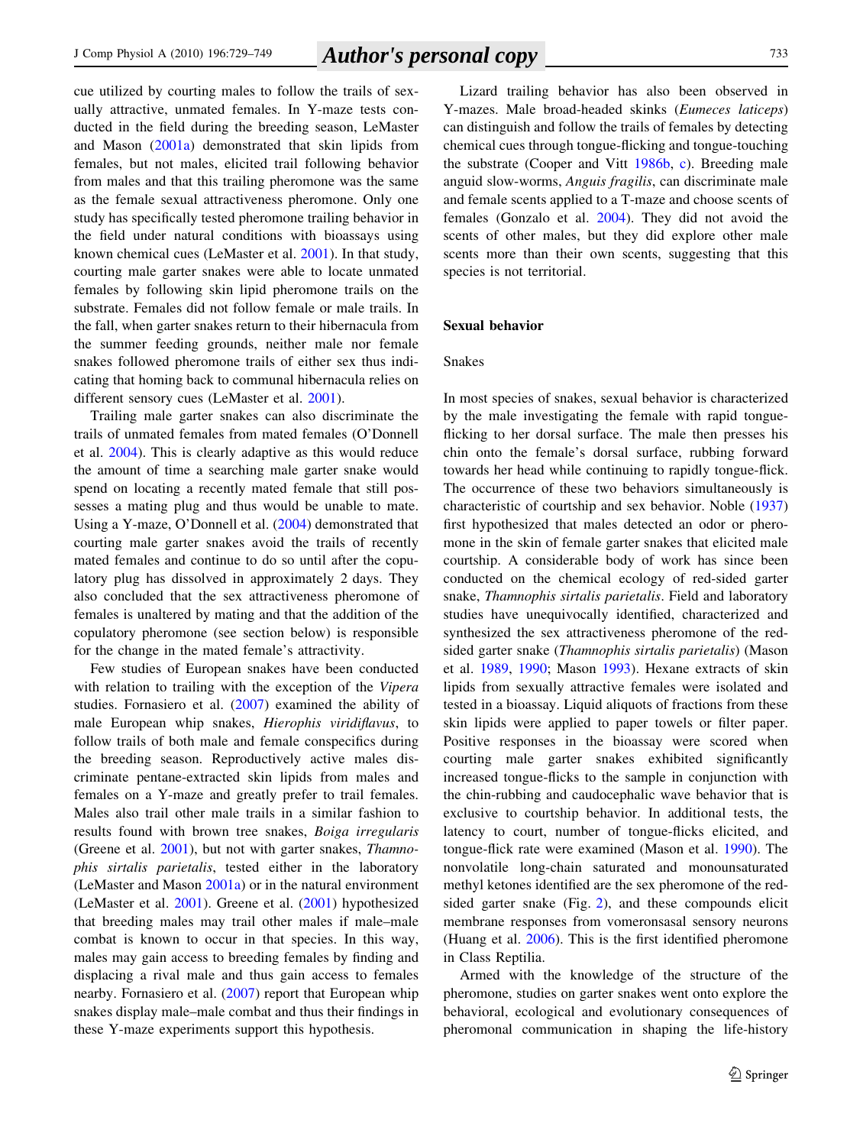cue utilized by courting males to follow the trails of sexually attractive, unmated females. In Y-maze tests conducted in the field during the breeding season, LeMaster and Mason ([2001a](#page-17-0)) demonstrated that skin lipids from females, but not males, elicited trail following behavior from males and that this trailing pheromone was the same as the female sexual attractiveness pheromone. Only one study has specifically tested pheromone trailing behavior in the field under natural conditions with bioassays using known chemical cues (LeMaster et al. [2001\)](#page-17-0). In that study, courting male garter snakes were able to locate unmated females by following skin lipid pheromone trails on the substrate. Females did not follow female or male trails. In the fall, when garter snakes return to their hibernacula from the summer feeding grounds, neither male nor female snakes followed pheromone trails of either sex thus indicating that homing back to communal hibernacula relies on different sensory cues (LeMaster et al. [2001](#page-17-0)).

Trailing male garter snakes can also discriminate the trails of unmated females from mated females (O'Donnell et al. [2004](#page-19-0)). This is clearly adaptive as this would reduce the amount of time a searching male garter snake would spend on locating a recently mated female that still possesses a mating plug and thus would be unable to mate. Using a Y-maze, O'Donnell et al. ([2004\)](#page-19-0) demonstrated that courting male garter snakes avoid the trails of recently mated females and continue to do so until after the copulatory plug has dissolved in approximately 2 days. They also concluded that the sex attractiveness pheromone of females is unaltered by mating and that the addition of the copulatory pheromone (see section below) is responsible for the change in the mated female's attractivity.

Few studies of European snakes have been conducted with relation to trailing with the exception of the Vipera studies. Fornasiero et al. [\(2007](#page-17-0)) examined the ability of male European whip snakes, Hierophis viridiflavus, to follow trails of both male and female conspecifics during the breeding season. Reproductively active males discriminate pentane-extracted skin lipids from males and females on a Y-maze and greatly prefer to trail females. Males also trail other male trails in a similar fashion to results found with brown tree snakes, Boiga irregularis (Greene et al. [2001\)](#page-17-0), but not with garter snakes, Thamnophis sirtalis parietalis, tested either in the laboratory (LeMaster and Mason [2001a](#page-17-0)) or in the natural environment (LeMaster et al. [2001](#page-17-0)). Greene et al. [\(2001](#page-17-0)) hypothesized that breeding males may trail other males if male–male combat is known to occur in that species. In this way, males may gain access to breeding females by finding and displacing a rival male and thus gain access to females nearby. Fornasiero et al. [\(2007](#page-17-0)) report that European whip snakes display male–male combat and thus their findings in these Y-maze experiments support this hypothesis.

Lizard trailing behavior has also been observed in Y-mazes. Male broad-headed skinks (Eumeces laticeps) can distinguish and follow the trails of females by detecting chemical cues through tongue-flicking and tongue-touching the substrate (Cooper and Vitt [1986b,](#page-16-0) [c\)](#page-16-0). Breeding male anguid slow-worms, Anguis fragilis, can discriminate male and female scents applied to a T-maze and choose scents of females (Gonzalo et al. [2004](#page-17-0)). They did not avoid the scents of other males, but they did explore other male scents more than their own scents, suggesting that this species is not territorial.

# Sexual behavior

# Snakes

In most species of snakes, sexual behavior is characterized by the male investigating the female with rapid tongueflicking to her dorsal surface. The male then presses his chin onto the female's dorsal surface, rubbing forward towards her head while continuing to rapidly tongue-flick. The occurrence of these two behaviors simultaneously is characteristic of courtship and sex behavior. Noble ([1937\)](#page-19-0) first hypothesized that males detected an odor or pheromone in the skin of female garter snakes that elicited male courtship. A considerable body of work has since been conducted on the chemical ecology of red-sided garter snake, Thamnophis sirtalis parietalis. Field and laboratory studies have unequivocally identified, characterized and synthesized the sex attractiveness pheromone of the redsided garter snake (Thamnophis sirtalis parietalis) (Mason et al. [1989](#page-18-0), [1990;](#page-19-0) Mason [1993\)](#page-18-0). Hexane extracts of skin lipids from sexually attractive females were isolated and tested in a bioassay. Liquid aliquots of fractions from these skin lipids were applied to paper towels or filter paper. Positive responses in the bioassay were scored when courting male garter snakes exhibited significantly increased tongue-flicks to the sample in conjunction with the chin-rubbing and caudocephalic wave behavior that is exclusive to courtship behavior. In additional tests, the latency to court, number of tongue-flicks elicited, and tongue-flick rate were examined (Mason et al. [1990](#page-19-0)). The nonvolatile long-chain saturated and monounsaturated methyl ketones identified are the sex pheromone of the redsided garter snake (Fig. [2](#page-5-0)), and these compounds elicit membrane responses from vomeronsasal sensory neurons (Huang et al. [2006](#page-17-0)). This is the first identified pheromone in Class Reptilia.

Armed with the knowledge of the structure of the pheromone, studies on garter snakes went onto explore the behavioral, ecological and evolutionary consequences of pheromonal communication in shaping the life-history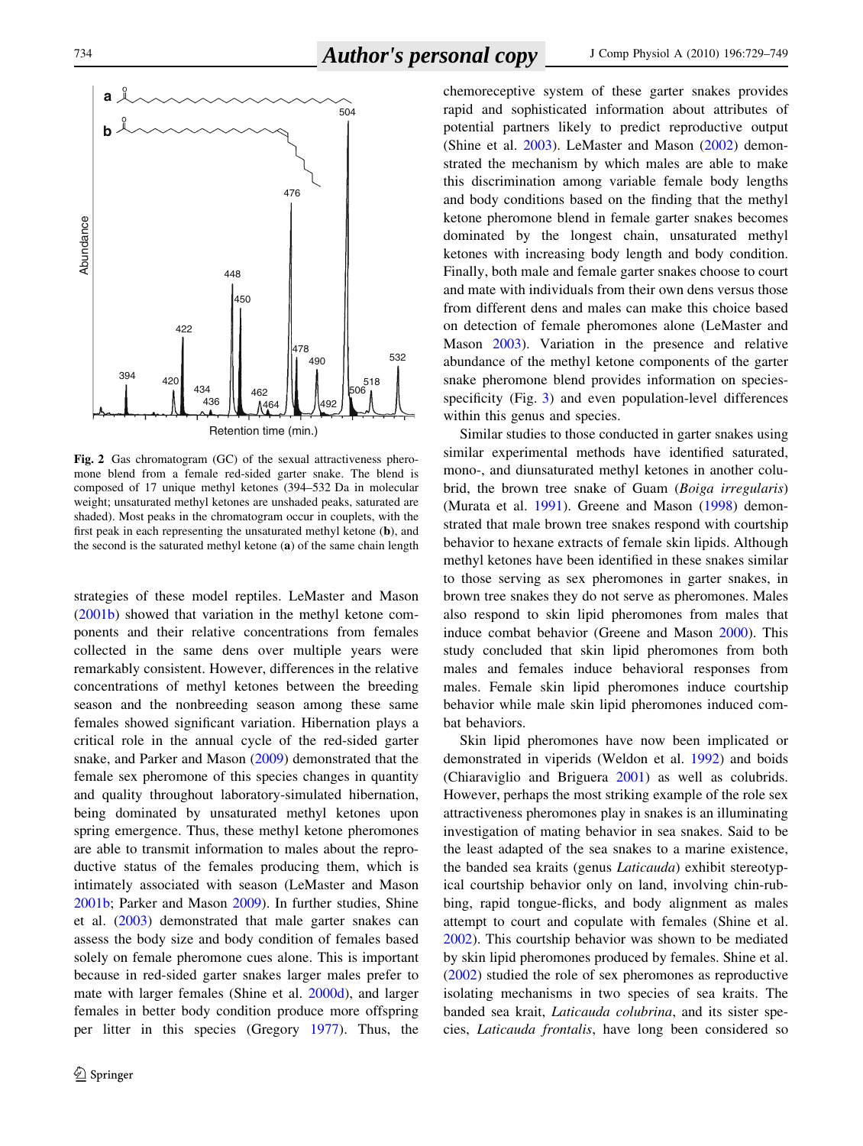<span id="page-5-0"></span>

Fig. 2 Gas chromatogram (GC) of the sexual attractiveness pheromone blend from a female red-sided garter snake. The blend is composed of 17 unique methyl ketones (394–532 Da in molecular weight; unsaturated methyl ketones are unshaded peaks, saturated are shaded). Most peaks in the chromatogram occur in couplets, with the first peak in each representing the unsaturated methyl ketone (b), and the second is the saturated methyl ketone (a) of the same chain length

strategies of these model reptiles. LeMaster and Mason [\(2001b](#page-17-0)) showed that variation in the methyl ketone components and their relative concentrations from females collected in the same dens over multiple years were remarkably consistent. However, differences in the relative concentrations of methyl ketones between the breeding season and the nonbreeding season among these same females showed significant variation. Hibernation plays a critical role in the annual cycle of the red-sided garter snake, and Parker and Mason [\(2009\)](#page-19-0) demonstrated that the female sex pheromone of this species changes in quantity and quality throughout laboratory-simulated hibernation, being dominated by unsaturated methyl ketones upon spring emergence. Thus, these methyl ketone pheromones are able to transmit information to males about the reproductive status of the females producing them, which is intimately associated with season (LeMaster and Mason [2001b;](#page-17-0) Parker and Mason [2009\)](#page-19-0). In further studies, Shine et al. ([2003\)](#page-19-0) demonstrated that male garter snakes can assess the body size and body condition of females based solely on female pheromone cues alone. This is important because in red-sided garter snakes larger males prefer to mate with larger females (Shine et al. [2000d\)](#page-19-0), and larger females in better body condition produce more offspring per litter in this species (Gregory [1977](#page-17-0)). Thus, the chemoreceptive system of these garter snakes provides rapid and sophisticated information about attributes of potential partners likely to predict reproductive output (Shine et al. [2003](#page-19-0)). LeMaster and Mason [\(2002](#page-17-0)) demonstrated the mechanism by which males are able to make this discrimination among variable female body lengths and body conditions based on the finding that the methyl ketone pheromone blend in female garter snakes becomes dominated by the longest chain, unsaturated methyl ketones with increasing body length and body condition. Finally, both male and female garter snakes choose to court and mate with individuals from their own dens versus those from different dens and males can make this choice based on detection of female pheromones alone (LeMaster and Mason [2003](#page-17-0)). Variation in the presence and relative abundance of the methyl ketone components of the garter snake pheromone blend provides information on species-specificity (Fig. [3](#page-6-0)) and even population-level differences within this genus and species.

Similar studies to those conducted in garter snakes using similar experimental methods have identified saturated, mono-, and diunsaturated methyl ketones in another colubrid, the brown tree snake of Guam (Boiga irregularis) (Murata et al. [1991\)](#page-19-0). Greene and Mason ([1998\)](#page-17-0) demonstrated that male brown tree snakes respond with courtship behavior to hexane extracts of female skin lipids. Although methyl ketones have been identified in these snakes similar to those serving as sex pheromones in garter snakes, in brown tree snakes they do not serve as pheromones. Males also respond to skin lipid pheromones from males that induce combat behavior (Greene and Mason [2000](#page-17-0)). This study concluded that skin lipid pheromones from both males and females induce behavioral responses from males. Female skin lipid pheromones induce courtship behavior while male skin lipid pheromones induced combat behaviors.

Skin lipid pheromones have now been implicated or demonstrated in viperids (Weldon et al. [1992\)](#page-20-0) and boids (Chiaraviglio and Briguera [2001](#page-16-0)) as well as colubrids. However, perhaps the most striking example of the role sex attractiveness pheromones play in snakes is an illuminating investigation of mating behavior in sea snakes. Said to be the least adapted of the sea snakes to a marine existence, the banded sea kraits (genus Laticauda) exhibit stereotypical courtship behavior only on land, involving chin-rubbing, rapid tongue-flicks, and body alignment as males attempt to court and copulate with females (Shine et al. [2002](#page-19-0)). This courtship behavior was shown to be mediated by skin lipid pheromones produced by females. Shine et al. [\(2002](#page-19-0)) studied the role of sex pheromones as reproductive isolating mechanisms in two species of sea kraits. The banded sea krait, Laticauda colubrina, and its sister species, Laticauda frontalis, have long been considered so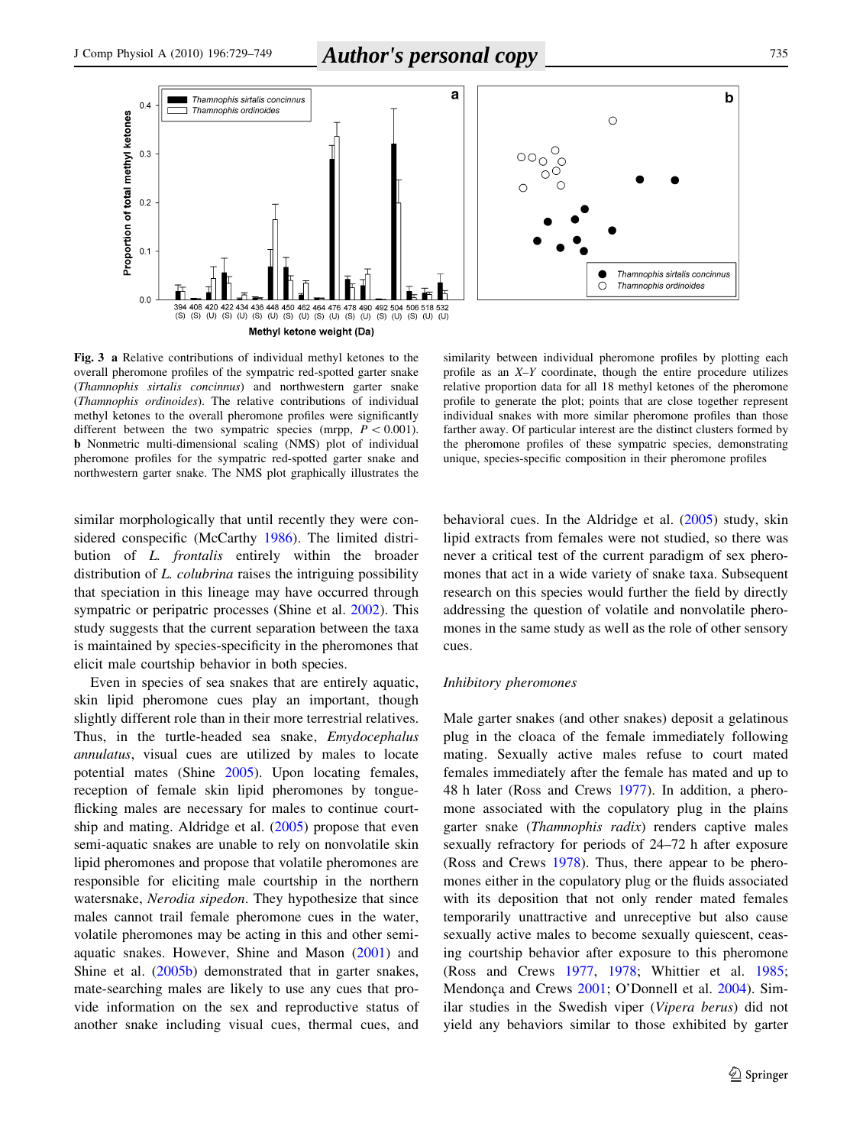b

<span id="page-6-0"></span>

Fig. 3 a Relative contributions of individual methyl ketones to the overall pheromone profiles of the sympatric red-spotted garter snake (Thamnophis sirtalis concinnus) and northwestern garter snake (Thamnophis ordinoides). The relative contributions of individual methyl ketones to the overall pheromone profiles were significantly different between the two sympatric species (mrpp,  $P < 0.001$ ). b Nonmetric multi-dimensional scaling (NMS) plot of individual pheromone profiles for the sympatric red-spotted garter snake and northwestern garter snake. The NMS plot graphically illustrates the

similar morphologically that until recently they were considered conspecific (McCarthy [1986](#page-19-0)). The limited distribution of *L. frontalis* entirely within the broader distribution of *L. colubrina* raises the intriguing possibility that speciation in this lineage may have occurred through sympatric or peripatric processes (Shine et al. [2002](#page-19-0)). This study suggests that the current separation between the taxa is maintained by species-specificity in the pheromones that elicit male courtship behavior in both species.

Even in species of sea snakes that are entirely aquatic, skin lipid pheromone cues play an important, though slightly different role than in their more terrestrial relatives. Thus, in the turtle-headed sea snake, Emydocephalus annulatus, visual cues are utilized by males to locate potential mates (Shine [2005](#page-19-0)). Upon locating females, reception of female skin lipid pheromones by tongueflicking males are necessary for males to continue courtship and mating. Aldridge et al. ([2005\)](#page-15-0) propose that even semi-aquatic snakes are unable to rely on nonvolatile skin lipid pheromones and propose that volatile pheromones are responsible for eliciting male courtship in the northern watersnake, Nerodia sipedon. They hypothesize that since males cannot trail female pheromone cues in the water, volatile pheromones may be acting in this and other semiaquatic snakes. However, Shine and Mason [\(2001](#page-19-0)) and Shine et al. [\(2005b](#page-19-0)) demonstrated that in garter snakes, mate-searching males are likely to use any cues that provide information on the sex and reproductive status of another snake including visual cues, thermal cues, and

similarity between individual pheromone profiles by plotting each profile as an X–Y coordinate, though the entire procedure utilizes relative proportion data for all 18 methyl ketones of the pheromone profile to generate the plot; points that are close together represent individual snakes with more similar pheromone profiles than those farther away. Of particular interest are the distinct clusters formed by the pheromone profiles of these sympatric species, demonstrating unique, species-specific composition in their pheromone profiles

 $\circ$ 

Thamnophis sirtalis concinnus

Thamnophis ordinoides

 $\circ$ 

 $\circ$  $\overline{O}$  $\circ$ C

 $\subset$ 

behavioral cues. In the Aldridge et al. [\(2005](#page-15-0)) study, skin lipid extracts from females were not studied, so there was never a critical test of the current paradigm of sex pheromones that act in a wide variety of snake taxa. Subsequent research on this species would further the field by directly addressing the question of volatile and nonvolatile pheromones in the same study as well as the role of other sensory cues.

#### Inhibitory pheromones

Male garter snakes (and other snakes) deposit a gelatinous plug in the cloaca of the female immediately following mating. Sexually active males refuse to court mated females immediately after the female has mated and up to 48 h later (Ross and Crews [1977\)](#page-19-0). In addition, a pheromone associated with the copulatory plug in the plains garter snake (Thamnophis radix) renders captive males sexually refractory for periods of 24–72 h after exposure (Ross and Crews [1978](#page-19-0)). Thus, there appear to be pheromones either in the copulatory plug or the fluids associated with its deposition that not only render mated females temporarily unattractive and unreceptive but also cause sexually active males to become sexually quiescent, ceasing courtship behavior after exposure to this pheromone (Ross and Crews [1977](#page-19-0), [1978;](#page-19-0) Whittier et al. [1985](#page-20-0); Mendonça and Crews [2001;](#page-19-0) O'Donnell et al. [2004](#page-19-0)). Similar studies in the Swedish viper (Vipera berus) did not yield any behaviors similar to those exhibited by garter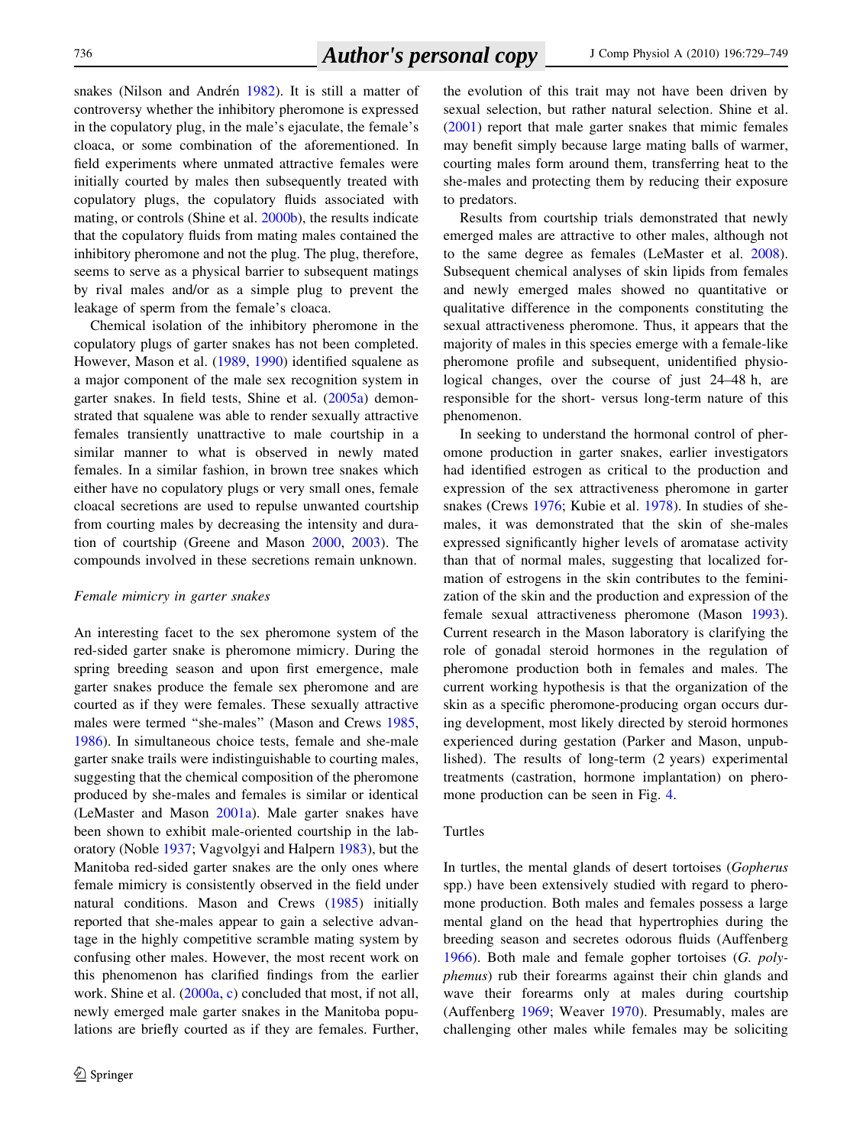snakes (Nilson and Andrén [1982\)](#page-19-0). It is still a matter of controversy whether the inhibitory pheromone is expressed in the copulatory plug, in the male's ejaculate, the female's cloaca, or some combination of the aforementioned. In field experiments where unmated attractive females were initially courted by males then subsequently treated with copulatory plugs, the copulatory fluids associated with mating, or controls (Shine et al. [2000b](#page-19-0)), the results indicate that the copulatory fluids from mating males contained the inhibitory pheromone and not the plug. The plug, therefore, seems to serve as a physical barrier to subsequent matings by rival males and/or as a simple plug to prevent the leakage of sperm from the female's cloaca.

Chemical isolation of the inhibitory pheromone in the copulatory plugs of garter snakes has not been completed. However, Mason et al. ([1989,](#page-18-0) [1990](#page-19-0)) identified squalene as a major component of the male sex recognition system in garter snakes. In field tests, Shine et al. ([2005a](#page-19-0)) demonstrated that squalene was able to render sexually attractive females transiently unattractive to male courtship in a similar manner to what is observed in newly mated females. In a similar fashion, in brown tree snakes which either have no copulatory plugs or very small ones, female cloacal secretions are used to repulse unwanted courtship from courting males by decreasing the intensity and duration of courtship (Greene and Mason [2000](#page-17-0), [2003\)](#page-17-0). The compounds involved in these secretions remain unknown.

#### Female mimicry in garter snakes

An interesting facet to the sex pheromone system of the red-sided garter snake is pheromone mimicry. During the spring breeding season and upon first emergence, male garter snakes produce the female sex pheromone and are courted as if they were females. These sexually attractive males were termed ''she-males'' (Mason and Crews [1985,](#page-18-0) [1986\)](#page-18-0). In simultaneous choice tests, female and she-male garter snake trails were indistinguishable to courting males, suggesting that the chemical composition of the pheromone produced by she-males and females is similar or identical (LeMaster and Mason [2001a\)](#page-17-0). Male garter snakes have been shown to exhibit male-oriented courtship in the laboratory (Noble [1937](#page-19-0); Vagvolgyi and Halpern [1983\)](#page-19-0), but the Manitoba red-sided garter snakes are the only ones where female mimicry is consistently observed in the field under natural conditions. Mason and Crews ([1985\)](#page-18-0) initially reported that she-males appear to gain a selective advantage in the highly competitive scramble mating system by confusing other males. However, the most recent work on this phenomenon has clarified findings from the earlier work. Shine et al. [\(2000a,](#page-19-0) [c](#page-19-0)) concluded that most, if not all, newly emerged male garter snakes in the Manitoba populations are briefly courted as if they are females. Further, the evolution of this trait may not have been driven by sexual selection, but rather natural selection. Shine et al. [\(2001](#page-19-0)) report that male garter snakes that mimic females may benefit simply because large mating balls of warmer, courting males form around them, transferring heat to the she-males and protecting them by reducing their exposure to predators.

Results from courtship trials demonstrated that newly emerged males are attractive to other males, although not to the same degree as females (LeMaster et al. [2008](#page-17-0)). Subsequent chemical analyses of skin lipids from females and newly emerged males showed no quantitative or qualitative difference in the components constituting the sexual attractiveness pheromone. Thus, it appears that the majority of males in this species emerge with a female-like pheromone profile and subsequent, unidentified physiological changes, over the course of just 24–48 h, are responsible for the short- versus long-term nature of this phenomenon.

In seeking to understand the hormonal control of pheromone production in garter snakes, earlier investigators had identified estrogen as critical to the production and expression of the sex attractiveness pheromone in garter snakes (Crews [1976;](#page-16-0) Kubie et al. [1978\)](#page-17-0). In studies of shemales, it was demonstrated that the skin of she-males expressed significantly higher levels of aromatase activity than that of normal males, suggesting that localized formation of estrogens in the skin contributes to the feminization of the skin and the production and expression of the female sexual attractiveness pheromone (Mason [1993](#page-18-0)). Current research in the Mason laboratory is clarifying the role of gonadal steroid hormones in the regulation of pheromone production both in females and males. The current working hypothesis is that the organization of the skin as a specific pheromone-producing organ occurs during development, most likely directed by steroid hormones experienced during gestation (Parker and Mason, unpublished). The results of long-term (2 years) experimental treatments (castration, hormone implantation) on pheromone production can be seen in Fig. [4.](#page-8-0)

# Turtles

In turtles, the mental glands of desert tortoises (Gopherus spp.) have been extensively studied with regard to pheromone production. Both males and females possess a large mental gland on the head that hypertrophies during the breeding season and secretes odorous fluids (Auffenberg [1966](#page-15-0)). Both male and female gopher tortoises (G. polyphemus) rub their forearms against their chin glands and wave their forearms only at males during courtship (Auffenberg [1969](#page-15-0); Weaver [1970](#page-19-0)). Presumably, males are challenging other males while females may be soliciting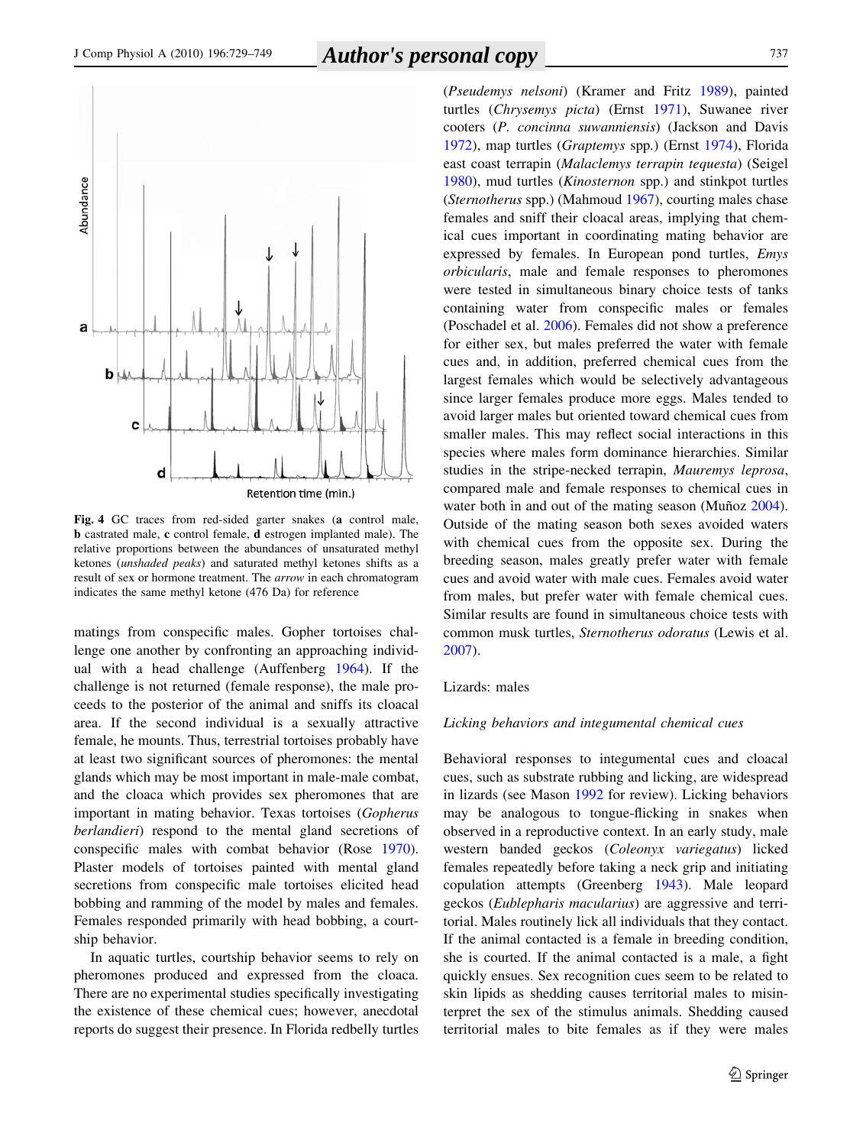

<span id="page-8-0"></span>

Fig. 4 GC traces from red-sided garter snakes (a control male, b castrated male, c control female, d estrogen implanted male). The relative proportions between the abundances of unsaturated methyl ketones (unshaded peaks) and saturated methyl ketones shifts as a result of sex or hormone treatment. The arrow in each chromatogram indicates the same methyl ketone (476 Da) for reference

matings from conspecific males. Gopher tortoises challenge one another by confronting an approaching individual with a head challenge (Auffenberg [1964](#page-15-0)). If the challenge is not returned (female response), the male proceeds to the posterior of the animal and sniffs its cloacal area. If the second individual is a sexually attractive female, he mounts. Thus, terrestrial tortoises probably have at least two significant sources of pheromones: the mental glands which may be most important in male-male combat, and the cloaca which provides sex pheromones that are important in mating behavior. Texas tortoises (Gopherus berlandieri) respond to the mental gland secretions of conspecific males with combat behavior (Rose [1970](#page-19-0)). Plaster models of tortoises painted with mental gland secretions from conspecific male tortoises elicited head bobbing and ramming of the model by males and females. Females responded primarily with head bobbing, a courtship behavior.

In aquatic turtles, courtship behavior seems to rely on pheromones produced and expressed from the cloaca. There are no experimental studies specifically investigating the existence of these chemical cues; however, anecdotal reports do suggest their presence. In Florida redbelly turtles (Pseudemys nelsoni) (Kramer and Fritz [1989\)](#page-17-0), painted turtles (Chrysemys picta) (Ernst [1971](#page-16-0)), Suwanee river cooters (P. concinna suwanniensis) (Jackson and Davis [1972](#page-17-0)), map turtles (Graptemys spp.) (Ernst [1974](#page-16-0)), Florida east coast terrapin (Malaclemys terrapin tequesta) (Seigel [1980](#page-19-0)), mud turtles (Kinosternon spp.) and stinkpot turtles (Sternotherus spp.) (Mahmoud [1967\)](#page-18-0), courting males chase females and sniff their cloacal areas, implying that chemical cues important in coordinating mating behavior are expressed by females. In European pond turtles, Emys orbicularis, male and female responses to pheromones were tested in simultaneous binary choice tests of tanks containing water from conspecific males or females (Poschadel et al. [2006](#page-19-0)). Females did not show a preference for either sex, but males preferred the water with female cues and, in addition, preferred chemical cues from the largest females which would be selectively advantageous since larger females produce more eggs. Males tended to avoid larger males but oriented toward chemical cues from smaller males. This may reflect social interactions in this species where males form dominance hierarchies. Similar studies in the stripe-necked terrapin, Mauremys leprosa, compared male and female responses to chemical cues in water both in and out of the mating season (Muñoz [2004](#page-19-0)). Outside of the mating season both sexes avoided waters with chemical cues from the opposite sex. During the breeding season, males greatly prefer water with female cues and avoid water with male cues. Females avoid water from males, but prefer water with female chemical cues. Similar results are found in simultaneous choice tests with common musk turtles, Sternotherus odoratus (Lewis et al. [2007](#page-18-0)).

## Lizards: males

## Licking behaviors and integumental chemical cues

Behavioral responses to integumental cues and cloacal cues, such as substrate rubbing and licking, are widespread in lizards (see Mason [1992](#page-18-0) for review). Licking behaviors may be analogous to tongue-flicking in snakes when observed in a reproductive context. In an early study, male western banded geckos (Coleonyx variegatus) licked females repeatedly before taking a neck grip and initiating copulation attempts (Greenberg [1943\)](#page-17-0). Male leopard geckos (Eublepharis macularius) are aggressive and territorial. Males routinely lick all individuals that they contact. If the animal contacted is a female in breeding condition, she is courted. If the animal contacted is a male, a fight quickly ensues. Sex recognition cues seem to be related to skin lipids as shedding causes territorial males to misinterpret the sex of the stimulus animals. Shedding caused territorial males to bite females as if they were males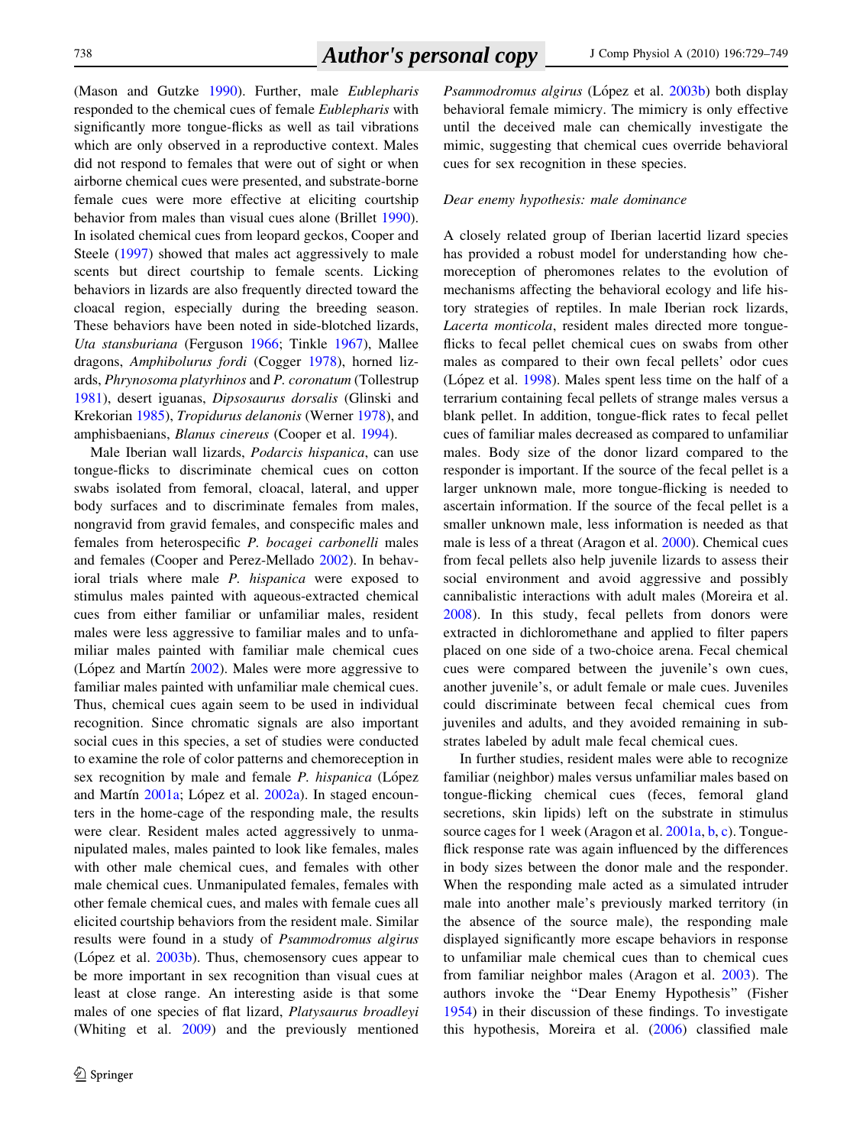(Mason and Gutzke [1990\)](#page-18-0). Further, male *Eublepharis* responded to the chemical cues of female Eublepharis with significantly more tongue-flicks as well as tail vibrations which are only observed in a reproductive context. Males did not respond to females that were out of sight or when airborne chemical cues were presented, and substrate-borne female cues were more effective at eliciting courtship behavior from males than visual cues alone (Brillet [1990](#page-15-0)). In isolated chemical cues from leopard geckos, Cooper and Steele [\(1997](#page-16-0)) showed that males act aggressively to male scents but direct courtship to female scents. Licking behaviors in lizards are also frequently directed toward the cloacal region, especially during the breeding season. These behaviors have been noted in side-blotched lizards, Uta stansburiana (Ferguson [1966](#page-16-0); Tinkle [1967\)](#page-19-0), Mallee dragons, Amphibolurus fordi (Cogger [1978\)](#page-16-0), horned lizards, Phrynosoma platyrhinos and P. coronatum (Tollestrup [1981\)](#page-19-0), desert iguanas, Dipsosaurus dorsalis (Glinski and Krekorian [1985\)](#page-17-0), Tropidurus delanonis (Werner [1978](#page-20-0)), and amphisbaenians, Blanus cinereus (Cooper et al. [1994\)](#page-16-0).

Male Iberian wall lizards, Podarcis hispanica, can use tongue-flicks to discriminate chemical cues on cotton swabs isolated from femoral, cloacal, lateral, and upper body surfaces and to discriminate females from males, nongravid from gravid females, and conspecific males and females from heterospecific P. bocagei carbonelli males and females (Cooper and Perez-Mellado [2002\)](#page-16-0). In behavioral trials where male P. hispanica were exposed to stimulus males painted with aqueous-extracted chemical cues from either familiar or unfamiliar males, resident males were less aggressive to familiar males and to unfamiliar males painted with familiar male chemical cues (López and Martín  $2002$ ). Males were more aggressive to familiar males painted with unfamiliar male chemical cues. Thus, chemical cues again seem to be used in individual recognition. Since chromatic signals are also important social cues in this species, a set of studies were conducted to examine the role of color patterns and chemoreception in sex recognition by male and female  $P$ . *hispanica* (López and Martín [2001a;](#page-18-0) López et al. [2002a\)](#page-18-0). In staged encounters in the home-cage of the responding male, the results were clear. Resident males acted aggressively to unmanipulated males, males painted to look like females, males with other male chemical cues, and females with other male chemical cues. Unmanipulated females, females with other female chemical cues, and males with female cues all elicited courtship behaviors from the resident male. Similar results were found in a study of Psammodromus algirus (López et al.  $2003b$ ). Thus, chemosensory cues appear to be more important in sex recognition than visual cues at least at close range. An interesting aside is that some males of one species of flat lizard, Platysaurus broadleyi (Whiting et al. [2009\)](#page-20-0) and the previously mentioned Psammodromus algirus (López et al. [2003b\)](#page-18-0) both display behavioral female mimicry. The mimicry is only effective until the deceived male can chemically investigate the mimic, suggesting that chemical cues override behavioral cues for sex recognition in these species.

## Dear enemy hypothesis: male dominance

A closely related group of Iberian lacertid lizard species has provided a robust model for understanding how chemoreception of pheromones relates to the evolution of mechanisms affecting the behavioral ecology and life history strategies of reptiles. In male Iberian rock lizards, Lacerta monticola, resident males directed more tongueflicks to fecal pellet chemical cues on swabs from other males as compared to their own fecal pellets' odor cues (López et al.  $1998$ ). Males spent less time on the half of a terrarium containing fecal pellets of strange males versus a blank pellet. In addition, tongue-flick rates to fecal pellet cues of familiar males decreased as compared to unfamiliar males. Body size of the donor lizard compared to the responder is important. If the source of the fecal pellet is a larger unknown male, more tongue-flicking is needed to ascertain information. If the source of the fecal pellet is a smaller unknown male, less information is needed as that male is less of a threat (Aragon et al. [2000\)](#page-15-0). Chemical cues from fecal pellets also help juvenile lizards to assess their social environment and avoid aggressive and possibly cannibalistic interactions with adult males (Moreira et al. [2008](#page-19-0)). In this study, fecal pellets from donors were extracted in dichloromethane and applied to filter papers placed on one side of a two-choice arena. Fecal chemical cues were compared between the juvenile's own cues, another juvenile's, or adult female or male cues. Juveniles could discriminate between fecal chemical cues from juveniles and adults, and they avoided remaining in substrates labeled by adult male fecal chemical cues.

In further studies, resident males were able to recognize familiar (neighbor) males versus unfamiliar males based on tongue-flicking chemical cues (feces, femoral gland secretions, skin lipids) left on the substrate in stimulus source cages for 1 week (Aragon et al. [2001a](#page-15-0), [b,](#page-15-0) [c\)](#page-15-0). Tongueflick response rate was again influenced by the differences in body sizes between the donor male and the responder. When the responding male acted as a simulated intruder male into another male's previously marked territory (in the absence of the source male), the responding male displayed significantly more escape behaviors in response to unfamiliar male chemical cues than to chemical cues from familiar neighbor males (Aragon et al. [2003](#page-15-0)). The authors invoke the ''Dear Enemy Hypothesis'' (Fisher [1954](#page-16-0)) in their discussion of these findings. To investigate this hypothesis, Moreira et al. [\(2006](#page-19-0)) classified male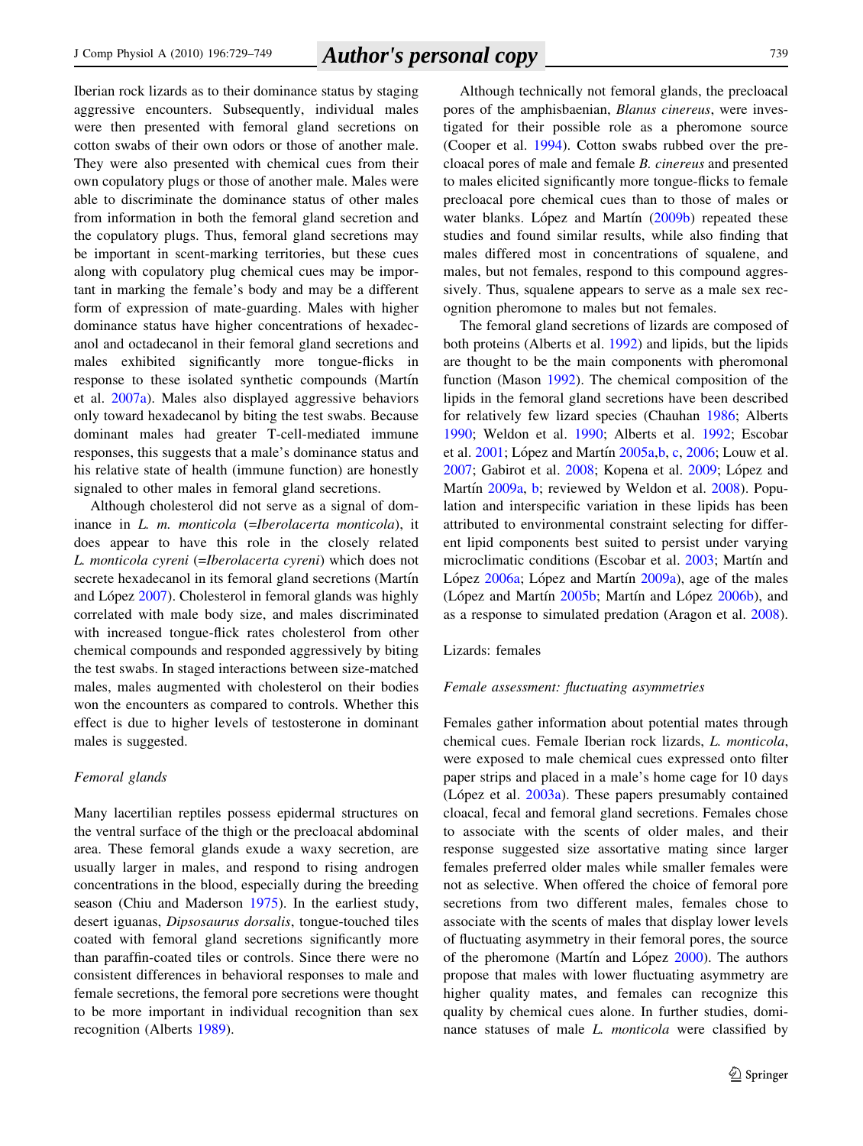Iberian rock lizards as to their dominance status by staging aggressive encounters. Subsequently, individual males were then presented with femoral gland secretions on cotton swabs of their own odors or those of another male. They were also presented with chemical cues from their own copulatory plugs or those of another male. Males were able to discriminate the dominance status of other males from information in both the femoral gland secretion and the copulatory plugs. Thus, femoral gland secretions may be important in scent-marking territories, but these cues along with copulatory plug chemical cues may be important in marking the female's body and may be a different form of expression of mate-guarding. Males with higher dominance status have higher concentrations of hexadecanol and octadecanol in their femoral gland secretions and males exhibited significantly more tongue-flicks in response to these isolated synthetic compounds (Martín et al. [2007a](#page-18-0)). Males also displayed aggressive behaviors only toward hexadecanol by biting the test swabs. Because dominant males had greater T-cell-mediated immune responses, this suggests that a male's dominance status and his relative state of health (immune function) are honestly signaled to other males in femoral gland secretions.

Although cholesterol did not serve as a signal of dominance in L. m. monticola (=Iberolacerta monticola), it does appear to have this role in the closely related L. monticola cyreni (=Iberolacerta cyreni) which does not secrete hexadecanol in its femoral gland secretions (Martin and López  $2007$ ). Cholesterol in femoral glands was highly correlated with male body size, and males discriminated with increased tongue-flick rates cholesterol from other chemical compounds and responded aggressively by biting the test swabs. In staged interactions between size-matched males, males augmented with cholesterol on their bodies won the encounters as compared to controls. Whether this effect is due to higher levels of testosterone in dominant males is suggested.

## Femoral glands

Many lacertilian reptiles possess epidermal structures on the ventral surface of the thigh or the precloacal abdominal area. These femoral glands exude a waxy secretion, are usually larger in males, and respond to rising androgen concentrations in the blood, especially during the breeding season (Chiu and Maderson [1975](#page-16-0)). In the earliest study, desert iguanas, Dipsosaurus dorsalis, tongue-touched tiles coated with femoral gland secretions significantly more than paraffin-coated tiles or controls. Since there were no consistent differences in behavioral responses to male and female secretions, the femoral pore secretions were thought to be more important in individual recognition than sex recognition (Alberts [1989](#page-15-0)).

Although technically not femoral glands, the precloacal pores of the amphisbaenian, Blanus cinereus, were investigated for their possible role as a pheromone source (Cooper et al. [1994](#page-16-0)). Cotton swabs rubbed over the precloacal pores of male and female B. cinereus and presented to males elicited significantly more tongue-flicks to female precloacal pore chemical cues than to those of males or water blanks. López and Martín ([2009b\)](#page-18-0) repeated these studies and found similar results, while also finding that males differed most in concentrations of squalene, and males, but not females, respond to this compound aggressively. Thus, squalene appears to serve as a male sex recognition pheromone to males but not females.

The femoral gland secretions of lizards are composed of both proteins (Alberts et al. [1992](#page-15-0)) and lipids, but the lipids are thought to be the main components with pheromonal function (Mason [1992\)](#page-18-0). The chemical composition of the lipids in the femoral gland secretions have been described for relatively few lizard species (Chauhan [1986;](#page-16-0) Alberts [1990](#page-15-0); Weldon et al. [1990](#page-20-0); Alberts et al. [1992;](#page-15-0) Escobar et al.  $2001$ ; López and Martín  $2005a,b, c, 2006$  $2005a,b, c, 2006$  $2005a,b, c, 2006$  $2005a,b, c, 2006$ ; Louw et al. [2007](#page-18-0); Gabirot et al. [2008](#page-17-0); Kopena et al. [2009](#page-17-0); López and Martín [2009a](#page-18-0), [b](#page-18-0); reviewed by Weldon et al. [2008](#page-20-0)). Population and interspecific variation in these lipids has been attributed to environmental constraint selecting for different lipid components best suited to persist under varying microclimatic conditions (Escobar et al. [2003](#page-16-0); Martín and López  $2006a$ ; López and Martín  $2009a$ ), age of the males (López and Martín  $2005b$ ; Martín and López  $2006b$ ), and as a response to simulated predation (Aragon et al. [2008](#page-15-0)).

## Lizards: females

## Female assessment: fluctuating asymmetries

Females gather information about potential mates through chemical cues. Female Iberian rock lizards, L. monticola, were exposed to male chemical cues expressed onto filter paper strips and placed in a male's home cage for 10 days (López et al. [2003a](#page-18-0)). These papers presumably contained cloacal, fecal and femoral gland secretions. Females chose to associate with the scents of older males, and their response suggested size assortative mating since larger females preferred older males while smaller females were not as selective. When offered the choice of femoral pore secretions from two different males, females chose to associate with the scents of males that display lower levels of fluctuating asymmetry in their femoral pores, the source of the pheromone (Martin and López  $2000$ ). The authors propose that males with lower fluctuating asymmetry are higher quality mates, and females can recognize this quality by chemical cues alone. In further studies, dominance statuses of male L. monticola were classified by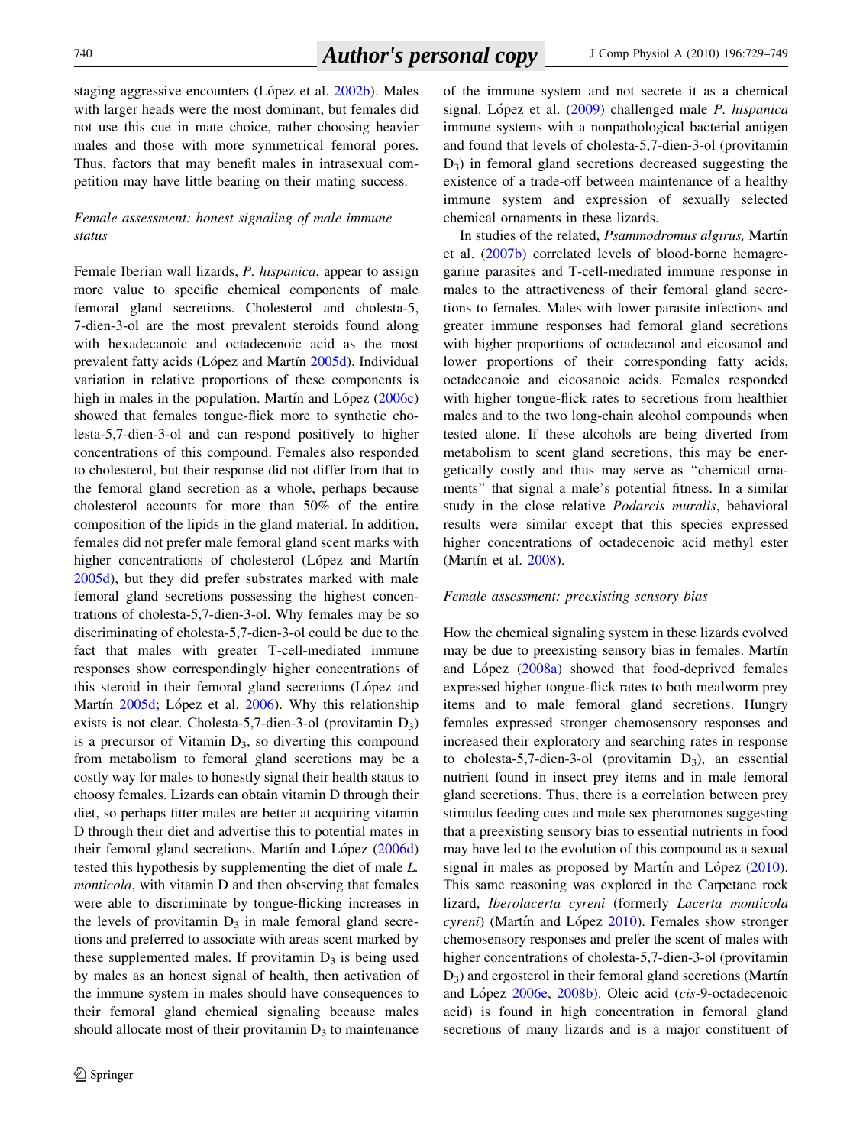staging aggressive encounters (López et al. [2002b\)](#page-18-0). Males with larger heads were the most dominant, but females did not use this cue in mate choice, rather choosing heavier males and those with more symmetrical femoral pores. Thus, factors that may benefit males in intrasexual competition may have little bearing on their mating success.

# Female assessment: honest signaling of male immune status

Female Iberian wall lizards, P. hispanica, appear to assign more value to specific chemical components of male femoral gland secretions. Cholesterol and cholesta-5, 7-dien-3-ol are the most prevalent steroids found along with hexadecanoic and octadecenoic acid as the most prevalent fatty acids (López and Martín [2005d](#page-18-0)). Individual variation in relative proportions of these components is high in males in the population. Martin and López  $(2006c)$ showed that females tongue-flick more to synthetic cholesta-5,7-dien-3-ol and can respond positively to higher concentrations of this compound. Females also responded to cholesterol, but their response did not differ from that to the femoral gland secretion as a whole, perhaps because cholesterol accounts for more than 50% of the entire composition of the lipids in the gland material. In addition, females did not prefer male femoral gland scent marks with higher concentrations of cholesterol (López and Martín [2005d\)](#page-18-0), but they did prefer substrates marked with male femoral gland secretions possessing the highest concentrations of cholesta-5,7-dien-3-ol. Why females may be so discriminating of cholesta-5,7-dien-3-ol could be due to the fact that males with greater T-cell-mediated immune responses show correspondingly higher concentrations of this steroid in their femoral gland secretions (López and Martín [2005d](#page-18-0); López et al. [2006](#page-18-0)). Why this relationship exists is not clear. Cholesta-5,7-dien-3-ol (provitamin D<sub>3</sub>) is a precursor of Vitamin  $D_3$ , so diverting this compound from metabolism to femoral gland secretions may be a costly way for males to honestly signal their health status to choosy females. Lizards can obtain vitamin D through their diet, so perhaps fitter males are better at acquiring vitamin D through their diet and advertise this to potential mates in their femoral gland secretions. Martín and López ([2006d\)](#page-18-0) tested this hypothesis by supplementing the diet of male L. monticola, with vitamin D and then observing that females were able to discriminate by tongue-flicking increases in the levels of provitamin  $D_3$  in male femoral gland secretions and preferred to associate with areas scent marked by these supplemented males. If provitamin  $D_3$  is being used by males as an honest signal of health, then activation of the immune system in males should have consequences to their femoral gland chemical signaling because males should allocate most of their provitamin  $D_3$  to maintenance of the immune system and not secrete it as a chemical signal. López et al.  $(2009)$  $(2009)$  challenged male *P. hispanica* immune systems with a nonpathological bacterial antigen and found that levels of cholesta-5,7-dien-3-ol (provitamin  $D_3$ ) in femoral gland secretions decreased suggesting the existence of a trade-off between maintenance of a healthy immune system and expression of sexually selected chemical ornaments in these lizards.

In studies of the related, *Psammodromus algirus*, Martín et al. [\(2007b](#page-18-0)) correlated levels of blood-borne hemagregarine parasites and T-cell-mediated immune response in males to the attractiveness of their femoral gland secretions to females. Males with lower parasite infections and greater immune responses had femoral gland secretions with higher proportions of octadecanol and eicosanol and lower proportions of their corresponding fatty acids, octadecanoic and eicosanoic acids. Females responded with higher tongue-flick rates to secretions from healthier males and to the two long-chain alcohol compounds when tested alone. If these alcohols are being diverted from metabolism to scent gland secretions, this may be energetically costly and thus may serve as ''chemical ornaments'' that signal a male's potential fitness. In a similar study in the close relative Podarcis muralis, behavioral results were similar except that this species expressed higher concentrations of octadecenoic acid methyl ester (Martín et al.  $2008$ ).

#### Female assessment: preexisting sensory bias

How the chemical signaling system in these lizards evolved may be due to preexisting sensory bias in females. Martin and López  $(2008a)$  showed that food-deprived females expressed higher tongue-flick rates to both mealworm prey items and to male femoral gland secretions. Hungry females expressed stronger chemosensory responses and increased their exploratory and searching rates in response to cholesta-5,7-dien-3-ol (provitamin  $D_3$ ), an essential nutrient found in insect prey items and in male femoral gland secretions. Thus, there is a correlation between prey stimulus feeding cues and male sex pheromones suggesting that a preexisting sensory bias to essential nutrients in food may have led to the evolution of this compound as a sexual signal in males as proposed by Martín and López  $(2010)$  $(2010)$ . This same reasoning was explored in the Carpetane rock lizard, Iberolacerta cyreni (formerly Lacerta monticola  $cyreni)$  (Martín and López  $2010$ ). Females show stronger chemosensory responses and prefer the scent of males with higher concentrations of cholesta-5,7-dien-3-ol (provitamin  $D_3$ ) and ergosterol in their femoral gland secretions (Martin and López [2006e](#page-18-0), [2008b](#page-18-0)). Oleic acid (cis-9-octadecenoic acid) is found in high concentration in femoral gland secretions of many lizards and is a major constituent of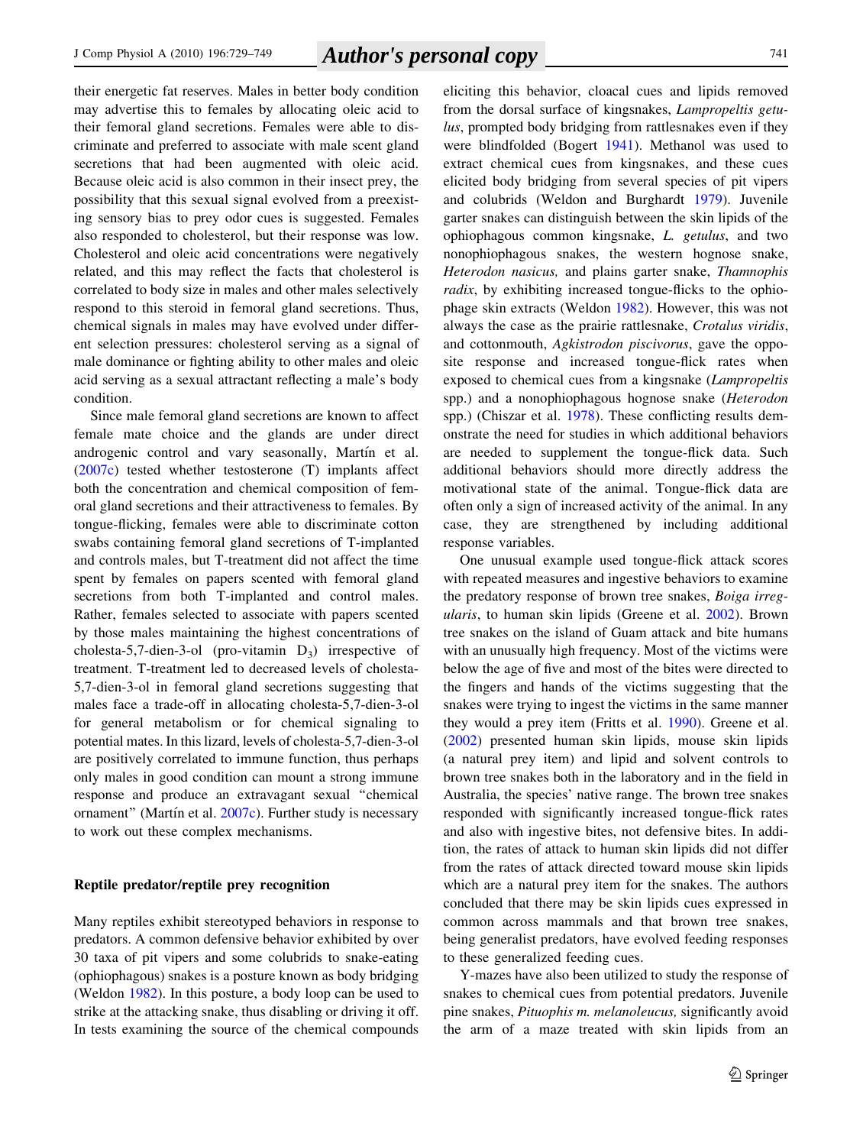their energetic fat reserves. Males in better body condition may advertise this to females by allocating oleic acid to their femoral gland secretions. Females were able to discriminate and preferred to associate with male scent gland secretions that had been augmented with oleic acid. Because oleic acid is also common in their insect prey, the possibility that this sexual signal evolved from a preexisting sensory bias to prey odor cues is suggested. Females also responded to cholesterol, but their response was low. Cholesterol and oleic acid concentrations were negatively related, and this may reflect the facts that cholesterol is correlated to body size in males and other males selectively respond to this steroid in femoral gland secretions. Thus, chemical signals in males may have evolved under different selection pressures: cholesterol serving as a signal of male dominance or fighting ability to other males and oleic acid serving as a sexual attractant reflecting a male's body condition.

Since male femoral gland secretions are known to affect female mate choice and the glands are under direct androgenic control and vary seasonally, Martín et al. [\(2007c\)](#page-18-0) tested whether testosterone (T) implants affect both the concentration and chemical composition of femoral gland secretions and their attractiveness to females. By tongue-flicking, females were able to discriminate cotton swabs containing femoral gland secretions of T-implanted and controls males, but T-treatment did not affect the time spent by females on papers scented with femoral gland secretions from both T-implanted and control males. Rather, females selected to associate with papers scented by those males maintaining the highest concentrations of cholesta-5,7-dien-3-ol (pro-vitamin  $D_3$ ) irrespective of treatment. T-treatment led to decreased levels of cholesta-5,7-dien-3-ol in femoral gland secretions suggesting that males face a trade-off in allocating cholesta-5,7-dien-3-ol for general metabolism or for chemical signaling to potential mates. In this lizard, levels of cholesta-5,7-dien-3-ol are positively correlated to immune function, thus perhaps only males in good condition can mount a strong immune response and produce an extravagant sexual ''chemical ornament" (Martín et al. [2007c\)](#page-18-0). Further study is necessary to work out these complex mechanisms.

# Reptile predator/reptile prey recognition

Many reptiles exhibit stereotyped behaviors in response to predators. A common defensive behavior exhibited by over 30 taxa of pit vipers and some colubrids to snake-eating (ophiophagous) snakes is a posture known as body bridging (Weldon [1982\)](#page-19-0). In this posture, a body loop can be used to strike at the attacking snake, thus disabling or driving it off. In tests examining the source of the chemical compounds eliciting this behavior, cloacal cues and lipids removed from the dorsal surface of kingsnakes, Lampropeltis getulus, prompted body bridging from rattlesnakes even if they were blindfolded (Bogert [1941\)](#page-15-0). Methanol was used to extract chemical cues from kingsnakes, and these cues elicited body bridging from several species of pit vipers and colubrids (Weldon and Burghardt [1979\)](#page-20-0). Juvenile garter snakes can distinguish between the skin lipids of the ophiophagous common kingsnake, L. getulus, and two nonophiophagous snakes, the western hognose snake, Heterodon nasicus, and plains garter snake, Thamnophis radix, by exhibiting increased tongue-flicks to the ophiophage skin extracts (Weldon [1982\)](#page-19-0). However, this was not always the case as the prairie rattlesnake, Crotalus viridis, and cottonmouth, Agkistrodon piscivorus, gave the opposite response and increased tongue-flick rates when exposed to chemical cues from a kingsnake (Lampropeltis spp.) and a nonophiophagous hognose snake (Heterodon spp.) (Chiszar et al. [1978\)](#page-16-0). These conflicting results demonstrate the need for studies in which additional behaviors are needed to supplement the tongue-flick data. Such additional behaviors should more directly address the motivational state of the animal. Tongue-flick data are often only a sign of increased activity of the animal. In any case, they are strengthened by including additional response variables.

One unusual example used tongue-flick attack scores with repeated measures and ingestive behaviors to examine the predatory response of brown tree snakes, Boiga irregularis, to human skin lipids (Greene et al. [2002](#page-17-0)). Brown tree snakes on the island of Guam attack and bite humans with an unusually high frequency. Most of the victims were below the age of five and most of the bites were directed to the fingers and hands of the victims suggesting that the snakes were trying to ingest the victims in the same manner they would a prey item (Fritts et al. [1990\)](#page-17-0). Greene et al. [\(2002](#page-17-0)) presented human skin lipids, mouse skin lipids (a natural prey item) and lipid and solvent controls to brown tree snakes both in the laboratory and in the field in Australia, the species' native range. The brown tree snakes responded with significantly increased tongue-flick rates and also with ingestive bites, not defensive bites. In addition, the rates of attack to human skin lipids did not differ from the rates of attack directed toward mouse skin lipids which are a natural prey item for the snakes. The authors concluded that there may be skin lipids cues expressed in common across mammals and that brown tree snakes, being generalist predators, have evolved feeding responses to these generalized feeding cues.

Y-mazes have also been utilized to study the response of snakes to chemical cues from potential predators. Juvenile pine snakes, Pituophis m. melanoleucus, significantly avoid the arm of a maze treated with skin lipids from an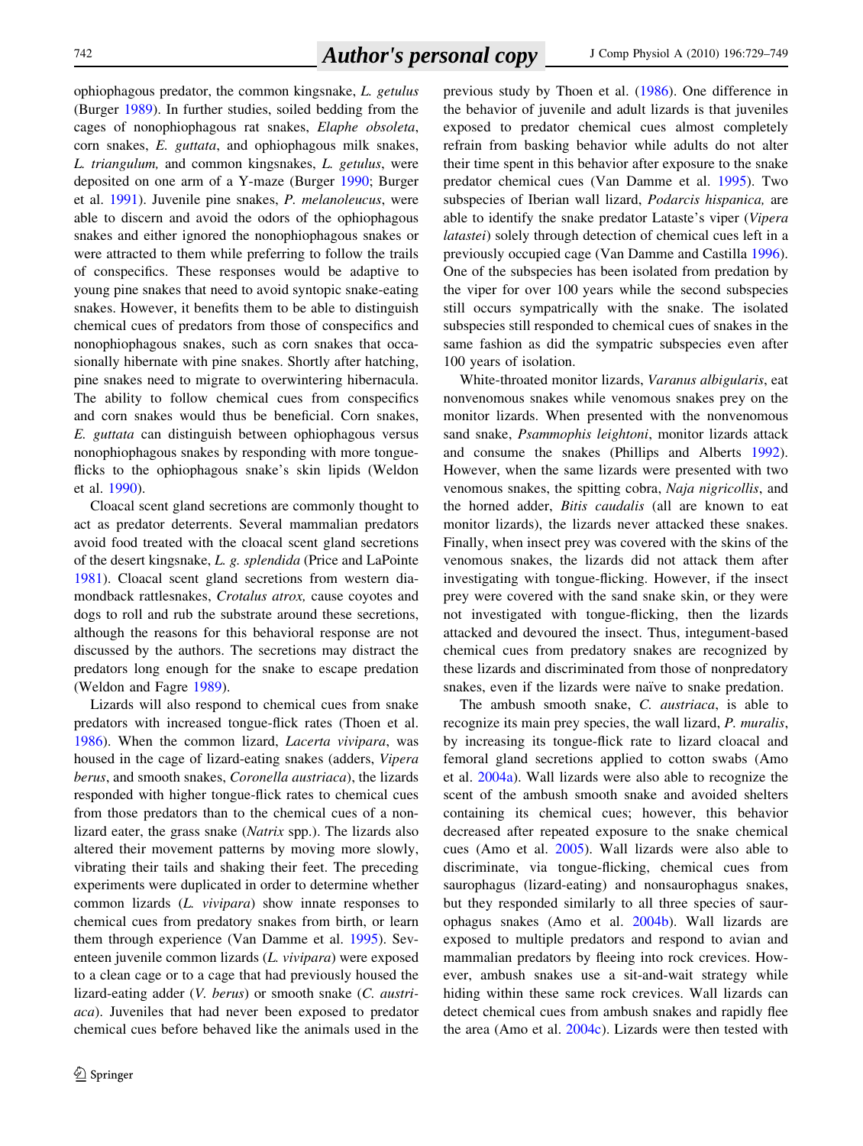ophiophagous predator, the common kingsnake, L. getulus (Burger [1989\)](#page-15-0). In further studies, soiled bedding from the cages of nonophiophagous rat snakes, Elaphe obsoleta, corn snakes, E. guttata, and ophiophagous milk snakes, L. triangulum, and common kingsnakes, L. getulus, were deposited on one arm of a Y-maze (Burger [1990;](#page-15-0) Burger et al. [1991\)](#page-15-0). Juvenile pine snakes, P. melanoleucus, were able to discern and avoid the odors of the ophiophagous snakes and either ignored the nonophiophagous snakes or were attracted to them while preferring to follow the trails of conspecifics. These responses would be adaptive to young pine snakes that need to avoid syntopic snake-eating snakes. However, it benefits them to be able to distinguish chemical cues of predators from those of conspecifics and nonophiophagous snakes, such as corn snakes that occasionally hibernate with pine snakes. Shortly after hatching, pine snakes need to migrate to overwintering hibernacula. The ability to follow chemical cues from conspecifics and corn snakes would thus be beneficial. Corn snakes, E. guttata can distinguish between ophiophagous versus nonophiophagous snakes by responding with more tongueflicks to the ophiophagous snake's skin lipids (Weldon et al. [1990\)](#page-20-0).

Cloacal scent gland secretions are commonly thought to act as predator deterrents. Several mammalian predators avoid food treated with the cloacal scent gland secretions of the desert kingsnake, L. g. splendida (Price and LaPointe [1981\)](#page-19-0). Cloacal scent gland secretions from western diamondback rattlesnakes, Crotalus atrox, cause coyotes and dogs to roll and rub the substrate around these secretions, although the reasons for this behavioral response are not discussed by the authors. The secretions may distract the predators long enough for the snake to escape predation (Weldon and Fagre [1989](#page-20-0)).

Lizards will also respond to chemical cues from snake predators with increased tongue-flick rates (Thoen et al. [1986\)](#page-19-0). When the common lizard, Lacerta vivipara, was housed in the cage of lizard-eating snakes (adders, Vipera berus, and smooth snakes, Coronella austriaca), the lizards responded with higher tongue-flick rates to chemical cues from those predators than to the chemical cues of a nonlizard eater, the grass snake (Natrix spp.). The lizards also altered their movement patterns by moving more slowly, vibrating their tails and shaking their feet. The preceding experiments were duplicated in order to determine whether common lizards (L. vivipara) show innate responses to chemical cues from predatory snakes from birth, or learn them through experience (Van Damme et al. [1995](#page-19-0)). Seventeen juvenile common lizards (L. vivipara) were exposed to a clean cage or to a cage that had previously housed the lizard-eating adder (V. berus) or smooth snake (C. austriaca). Juveniles that had never been exposed to predator chemical cues before behaved like the animals used in the

previous study by Thoen et al. ([1986\)](#page-19-0). One difference in the behavior of juvenile and adult lizards is that juveniles exposed to predator chemical cues almost completely refrain from basking behavior while adults do not alter their time spent in this behavior after exposure to the snake predator chemical cues (Van Damme et al. [1995](#page-19-0)). Two subspecies of Iberian wall lizard, Podarcis hispanica, are able to identify the snake predator Lataste's viper (Vipera latastei) solely through detection of chemical cues left in a previously occupied cage (Van Damme and Castilla [1996](#page-19-0)). One of the subspecies has been isolated from predation by the viper for over 100 years while the second subspecies still occurs sympatrically with the snake. The isolated subspecies still responded to chemical cues of snakes in the same fashion as did the sympatric subspecies even after 100 years of isolation.

White-throated monitor lizards, Varanus albigularis, eat nonvenomous snakes while venomous snakes prey on the monitor lizards. When presented with the nonvenomous sand snake, Psammophis leightoni, monitor lizards attack and consume the snakes (Phillips and Alberts [1992](#page-19-0)). However, when the same lizards were presented with two venomous snakes, the spitting cobra, Naja nigricollis, and the horned adder, Bitis caudalis (all are known to eat monitor lizards), the lizards never attacked these snakes. Finally, when insect prey was covered with the skins of the venomous snakes, the lizards did not attack them after investigating with tongue-flicking. However, if the insect prey were covered with the sand snake skin, or they were not investigated with tongue-flicking, then the lizards attacked and devoured the insect. Thus, integument-based chemical cues from predatory snakes are recognized by these lizards and discriminated from those of nonpredatory snakes, even if the lizards were naïve to snake predation.

The ambush smooth snake, C. *austriaca*, is able to recognize its main prey species, the wall lizard, P. muralis, by increasing its tongue-flick rate to lizard cloacal and femoral gland secretions applied to cotton swabs (Amo et al. [2004a](#page-15-0)). Wall lizards were also able to recognize the scent of the ambush smooth snake and avoided shelters containing its chemical cues; however, this behavior decreased after repeated exposure to the snake chemical cues (Amo et al. [2005](#page-15-0)). Wall lizards were also able to discriminate, via tongue-flicking, chemical cues from saurophagus (lizard-eating) and nonsaurophagus snakes, but they responded similarly to all three species of saurophagus snakes (Amo et al. [2004b\)](#page-15-0). Wall lizards are exposed to multiple predators and respond to avian and mammalian predators by fleeing into rock crevices. However, ambush snakes use a sit-and-wait strategy while hiding within these same rock crevices. Wall lizards can detect chemical cues from ambush snakes and rapidly flee the area (Amo et al. [2004c](#page-15-0)). Lizards were then tested with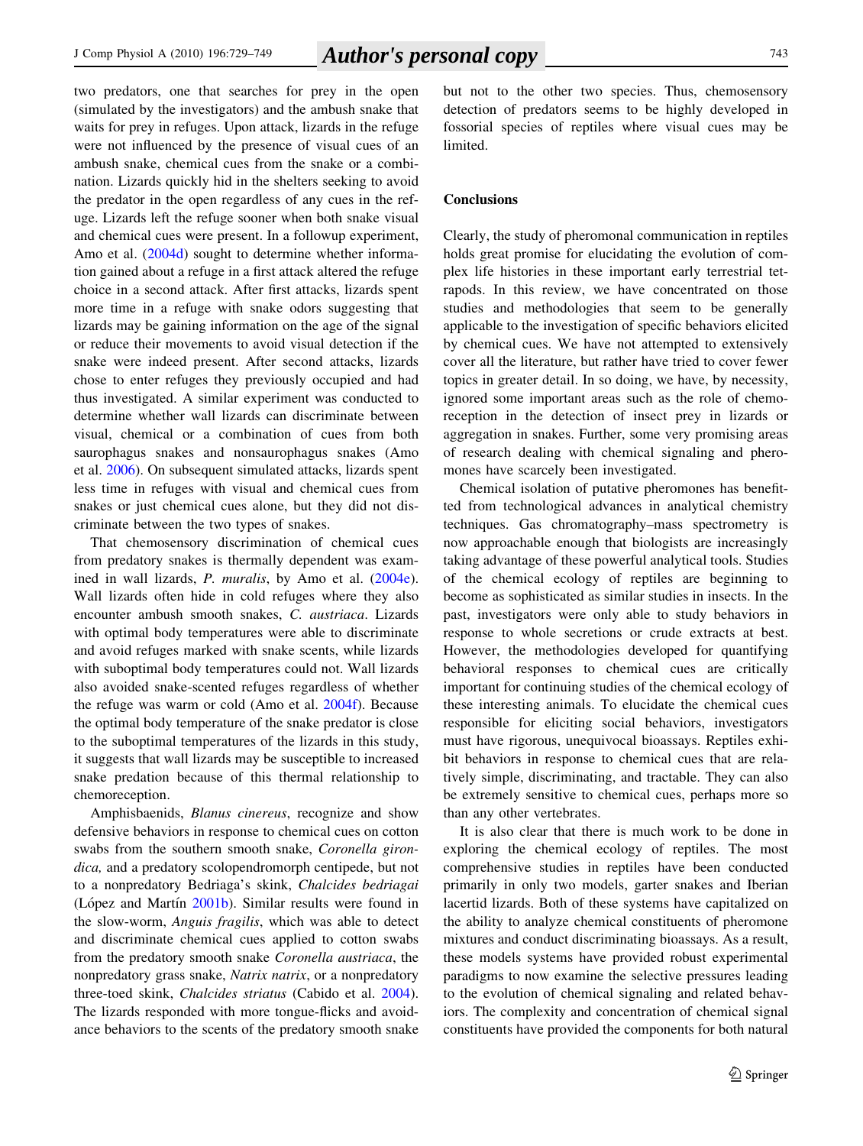two predators, one that searches for prey in the open (simulated by the investigators) and the ambush snake that waits for prey in refuges. Upon attack, lizards in the refuge were not influenced by the presence of visual cues of an ambush snake, chemical cues from the snake or a combination. Lizards quickly hid in the shelters seeking to avoid the predator in the open regardless of any cues in the refuge. Lizards left the refuge sooner when both snake visual and chemical cues were present. In a followup experiment, Amo et al. ([2004d\)](#page-15-0) sought to determine whether information gained about a refuge in a first attack altered the refuge choice in a second attack. After first attacks, lizards spent more time in a refuge with snake odors suggesting that lizards may be gaining information on the age of the signal or reduce their movements to avoid visual detection if the snake were indeed present. After second attacks, lizards chose to enter refuges they previously occupied and had thus investigated. A similar experiment was conducted to determine whether wall lizards can discriminate between visual, chemical or a combination of cues from both saurophagus snakes and nonsaurophagus snakes (Amo et al. [2006](#page-15-0)). On subsequent simulated attacks, lizards spent less time in refuges with visual and chemical cues from snakes or just chemical cues alone, but they did not discriminate between the two types of snakes.

That chemosensory discrimination of chemical cues from predatory snakes is thermally dependent was examined in wall lizards, P. muralis, by Amo et al. ([2004e](#page-15-0)). Wall lizards often hide in cold refuges where they also encounter ambush smooth snakes, C. austriaca. Lizards with optimal body temperatures were able to discriminate and avoid refuges marked with snake scents, while lizards with suboptimal body temperatures could not. Wall lizards also avoided snake-scented refuges regardless of whether the refuge was warm or cold (Amo et al. [2004f\)](#page-15-0). Because the optimal body temperature of the snake predator is close to the suboptimal temperatures of the lizards in this study, it suggests that wall lizards may be susceptible to increased snake predation because of this thermal relationship to chemoreception.

Amphisbaenids, Blanus cinereus, recognize and show defensive behaviors in response to chemical cues on cotton swabs from the southern smooth snake, Coronella girondica, and a predatory scolopendromorph centipede, but not to a nonpredatory Bedriaga's skink, Chalcides bedriagai (López and Martín  $2001b$ ). Similar results were found in the slow-worm, Anguis fragilis, which was able to detect and discriminate chemical cues applied to cotton swabs from the predatory smooth snake Coronella austriaca, the nonpredatory grass snake, Natrix natrix, or a nonpredatory three-toed skink, Chalcides striatus (Cabido et al. [2004](#page-16-0)). The lizards responded with more tongue-flicks and avoidance behaviors to the scents of the predatory smooth snake but not to the other two species. Thus, chemosensory detection of predators seems to be highly developed in fossorial species of reptiles where visual cues may be limited.

# **Conclusions**

Clearly, the study of pheromonal communication in reptiles holds great promise for elucidating the evolution of complex life histories in these important early terrestrial tetrapods. In this review, we have concentrated on those studies and methodologies that seem to be generally applicable to the investigation of specific behaviors elicited by chemical cues. We have not attempted to extensively cover all the literature, but rather have tried to cover fewer topics in greater detail. In so doing, we have, by necessity, ignored some important areas such as the role of chemoreception in the detection of insect prey in lizards or aggregation in snakes. Further, some very promising areas of research dealing with chemical signaling and pheromones have scarcely been investigated.

Chemical isolation of putative pheromones has benefitted from technological advances in analytical chemistry techniques. Gas chromatography–mass spectrometry is now approachable enough that biologists are increasingly taking advantage of these powerful analytical tools. Studies of the chemical ecology of reptiles are beginning to become as sophisticated as similar studies in insects. In the past, investigators were only able to study behaviors in response to whole secretions or crude extracts at best. However, the methodologies developed for quantifying behavioral responses to chemical cues are critically important for continuing studies of the chemical ecology of these interesting animals. To elucidate the chemical cues responsible for eliciting social behaviors, investigators must have rigorous, unequivocal bioassays. Reptiles exhibit behaviors in response to chemical cues that are relatively simple, discriminating, and tractable. They can also be extremely sensitive to chemical cues, perhaps more so than any other vertebrates.

It is also clear that there is much work to be done in exploring the chemical ecology of reptiles. The most comprehensive studies in reptiles have been conducted primarily in only two models, garter snakes and Iberian lacertid lizards. Both of these systems have capitalized on the ability to analyze chemical constituents of pheromone mixtures and conduct discriminating bioassays. As a result, these models systems have provided robust experimental paradigms to now examine the selective pressures leading to the evolution of chemical signaling and related behaviors. The complexity and concentration of chemical signal constituents have provided the components for both natural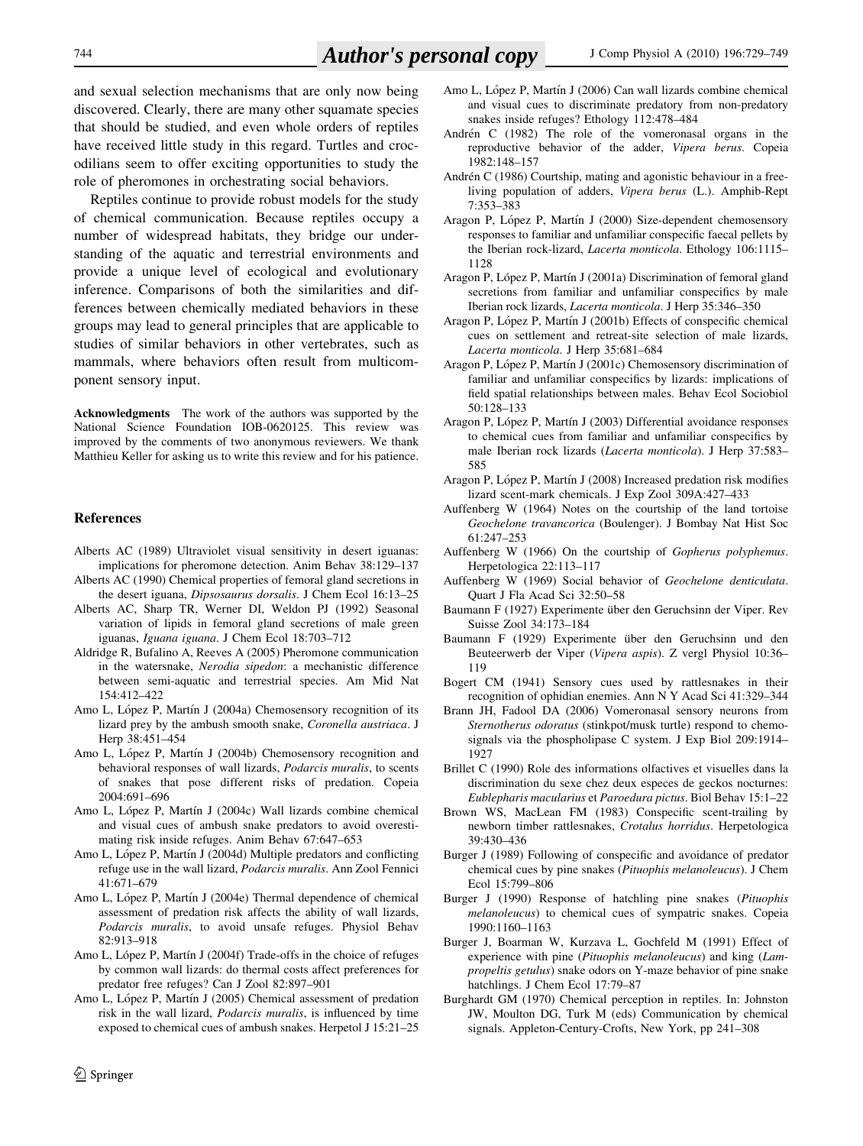<span id="page-15-0"></span>and sexual selection mechanisms that are only now being discovered. Clearly, there are many other squamate species that should be studied, and even whole orders of reptiles have received little study in this regard. Turtles and crocodilians seem to offer exciting opportunities to study the role of pheromones in orchestrating social behaviors.

Reptiles continue to provide robust models for the study of chemical communication. Because reptiles occupy a number of widespread habitats, they bridge our understanding of the aquatic and terrestrial environments and provide a unique level of ecological and evolutionary inference. Comparisons of both the similarities and differences between chemically mediated behaviors in these groups may lead to general principles that are applicable to studies of similar behaviors in other vertebrates, such as mammals, where behaviors often result from multicomponent sensory input.

Acknowledgments The work of the authors was supported by the National Science Foundation IOB-0620125. This review was improved by the comments of two anonymous reviewers. We thank Matthieu Keller for asking us to write this review and for his patience.

#### References

- Alberts AC (1989) Ultraviolet visual sensitivity in desert iguanas: implications for pheromone detection. Anim Behav 38:129–137
- Alberts AC (1990) Chemical properties of femoral gland secretions in the desert iguana, Dipsosaurus dorsalis. J Chem Ecol 16:13–25
- Alberts AC, Sharp TR, Werner DI, Weldon PJ (1992) Seasonal variation of lipids in femoral gland secretions of male green iguanas, Iguana iguana. J Chem Ecol 18:703–712
- Aldridge R, Bufalino A, Reeves A (2005) Pheromone communication in the watersnake, Nerodia sipedon: a mechanistic difference between semi-aquatic and terrestrial species. Am Mid Nat 154:412–422
- Amo L, López P, Martín J (2004a) Chemosensory recognition of its lizard prey by the ambush smooth snake, Coronella austriaca. J Herp 38:451–454
- Amo L, López P, Martín J (2004b) Chemosensory recognition and behavioral responses of wall lizards, Podarcis muralis, to scents of snakes that pose different risks of predation. Copeia 2004:691–696
- Amo L, López P, Martín J (2004c) Wall lizards combine chemical and visual cues of ambush snake predators to avoid overestimating risk inside refuges. Anim Behav 67:647–653
- Amo L, López P, Martín J (2004d) Multiple predators and conflicting refuge use in the wall lizard, Podarcis muralis. Ann Zool Fennici 41:671–679
- Amo L, López P, Martín J (2004e) Thermal dependence of chemical assessment of predation risk affects the ability of wall lizards, Podarcis muralis, to avoid unsafe refuges. Physiol Behav 82:913–918
- Amo L, López P, Martín J (2004f) Trade-offs in the choice of refuges by common wall lizards: do thermal costs affect preferences for predator free refuges? Can J Zool 82:897–901
- Amo L, López P, Martín J (2005) Chemical assessment of predation risk in the wall lizard, Podarcis muralis, is influenced by time exposed to chemical cues of ambush snakes. Herpetol J 15:21–25
- Amo L, López P, Martín J (2006) Can wall lizards combine chemical and visual cues to discriminate predatory from non-predatory snakes inside refuges? Ethology 112:478–484
- Andrén C (1982) The role of the vomeronasal organs in the reproductive behavior of the adder, Vipera berus. Copeia 1982:148–157
- Andrén C (1986) Courtship, mating and agonistic behaviour in a freeliving population of adders, Vipera berus (L.). Amphib-Rept 7:353–383
- Aragon P, López P, Martín J (2000) Size-dependent chemosensory responses to familiar and unfamiliar conspecific faecal pellets by the Iberian rock-lizard, Lacerta monticola. Ethology 106:1115-1128
- Aragon P, López P, Martín J (2001a) Discrimination of femoral gland secretions from familiar and unfamiliar conspecifics by male Iberian rock lizards, Lacerta monticola. J Herp 35:346–350
- Aragon P, López P, Martín J (2001b) Effects of conspecific chemical cues on settlement and retreat-site selection of male lizards, Lacerta monticola. J Herp 35:681–684
- Aragon P, López P, Martín J (2001c) Chemosensory discrimination of familiar and unfamiliar conspecifics by lizards: implications of field spatial relationships between males. Behav Ecol Sociobiol 50:128–133
- Aragon P, López P, Martín J (2003) Differential avoidance responses to chemical cues from familiar and unfamiliar conspecifics by male Iberian rock lizards (Lacerta monticola). J Herp 37:583– 585
- Aragon P, López P, Martín J (2008) Increased predation risk modifies lizard scent-mark chemicals. J Exp Zool 309A:427–433
- Auffenberg W (1964) Notes on the courtship of the land tortoise Geochelone travancorica (Boulenger). J Bombay Nat Hist Soc 61:247–253
- Auffenberg W (1966) On the courtship of Gopherus polyphemus. Herpetologica 22:113–117
- Auffenberg W (1969) Social behavior of Geochelone denticulata. Quart J Fla Acad Sci 32:50–58
- Baumann F (1927) Experimente über den Geruchsinn der Viper. Rev Suisse Zool 34:173–184
- Baumann F (1929) Experimente über den Geruchsinn und den Beuteerwerb der Viper (Vipera aspis). Z vergl Physiol 10:36– 119
- Bogert CM (1941) Sensory cues used by rattlesnakes in their recognition of ophidian enemies. Ann N Y Acad Sci 41:329–344
- Brann JH, Fadool DA (2006) Vomeronasal sensory neurons from Sternotherus odoratus (stinkpot/musk turtle) respond to chemosignals via the phospholipase C system. J Exp Biol 209:1914– 1927
- Brillet C (1990) Role des informations olfactives et visuelles dans la discrimination du sexe chez deux especes de geckos nocturnes: Eublepharis macularius et Paroedura pictus. Biol Behav 15:1–22
- Brown WS, MacLean FM (1983) Conspecific scent-trailing by newborn timber rattlesnakes, Crotalus horridus. Herpetologica 39:430–436
- Burger J (1989) Following of conspecific and avoidance of predator chemical cues by pine snakes (Pituophis melanoleucus). J Chem Ecol 15:799–806
- Burger J (1990) Response of hatchling pine snakes (Pituophis melanoleucus) to chemical cues of sympatric snakes. Copeia 1990:1160–1163
- Burger J, Boarman W, Kurzava L, Gochfeld M (1991) Effect of experience with pine (Pituophis melanoleucus) and king (Lampropeltis getulus) snake odors on Y-maze behavior of pine snake hatchlings. J Chem Ecol 17:79–87
- Burghardt GM (1970) Chemical perception in reptiles. In: Johnston JW, Moulton DG, Turk M (eds) Communication by chemical signals. Appleton-Century-Crofts, New York, pp 241–308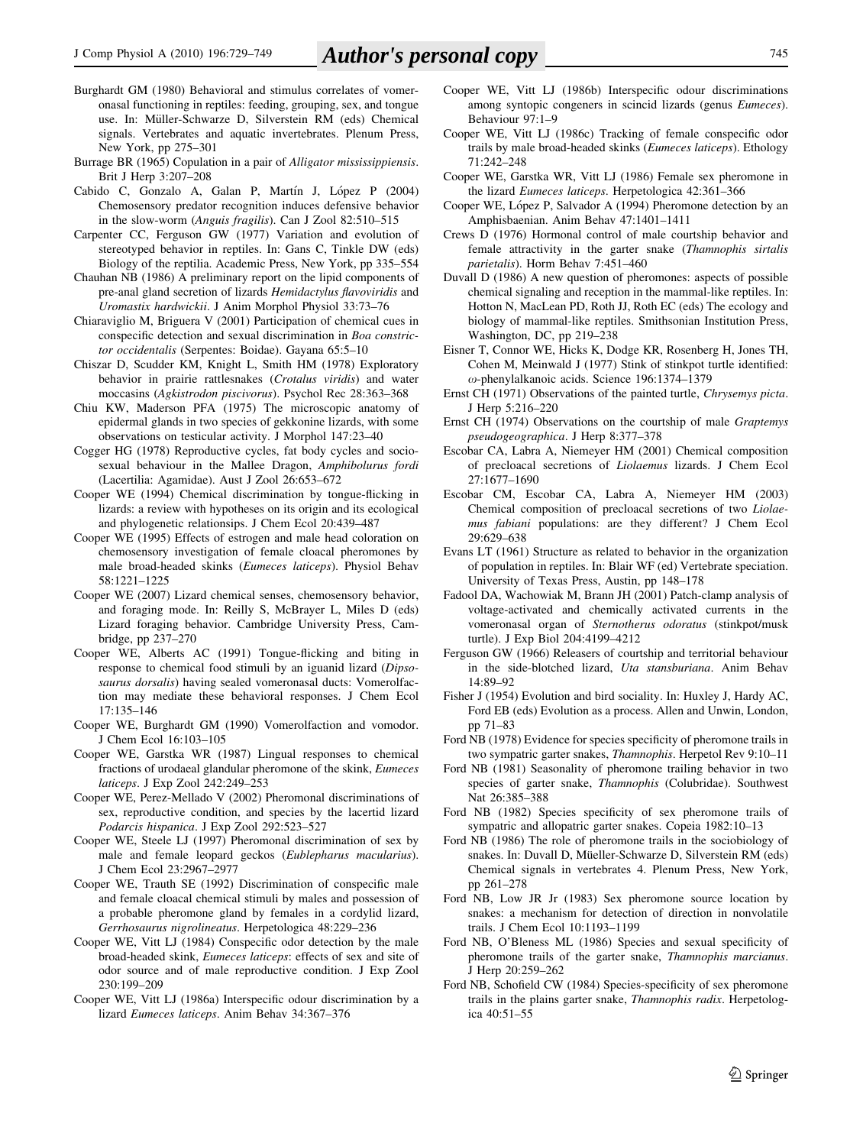- <span id="page-16-0"></span>Burghardt GM (1980) Behavioral and stimulus correlates of vomeronasal functioning in reptiles: feeding, grouping, sex, and tongue use. In: Müller-Schwarze D, Silverstein RM (eds) Chemical signals. Vertebrates and aquatic invertebrates. Plenum Press, New York, pp 275–301
- Burrage BR (1965) Copulation in a pair of Alligator mississippiensis. Brit J Herp 3:207–208
- Cabido C, Gonzalo A, Galan P, Martín J, López P (2004) Chemosensory predator recognition induces defensive behavior in the slow-worm (Anguis fragilis). Can J Zool 82:510–515
- Carpenter CC, Ferguson GW (1977) Variation and evolution of stereotyped behavior in reptiles. In: Gans C, Tinkle DW (eds) Biology of the reptilia. Academic Press, New York, pp 335–554
- Chauhan NB (1986) A preliminary report on the lipid components of pre-anal gland secretion of lizards Hemidactylus flavoviridis and Uromastix hardwickii. J Anim Morphol Physiol 33:73–76
- Chiaraviglio M, Briguera V (2001) Participation of chemical cues in conspecific detection and sexual discrimination in Boa constrictor occidentalis (Serpentes: Boidae). Gayana 65:5–10
- Chiszar D, Scudder KM, Knight L, Smith HM (1978) Exploratory behavior in prairie rattlesnakes (Crotalus viridis) and water moccasins (Agkistrodon piscivorus). Psychol Rec 28:363–368
- Chiu KW, Maderson PFA (1975) The microscopic anatomy of epidermal glands in two species of gekkonine lizards, with some observations on testicular activity. J Morphol 147:23–40
- Cogger HG (1978) Reproductive cycles, fat body cycles and sociosexual behaviour in the Mallee Dragon, Amphibolurus fordi (Lacertilia: Agamidae). Aust J Zool 26:653–672
- Cooper WE (1994) Chemical discrimination by tongue-flicking in lizards: a review with hypotheses on its origin and its ecological and phylogenetic relationsips. J Chem Ecol 20:439–487
- Cooper WE (1995) Effects of estrogen and male head coloration on chemosensory investigation of female cloacal pheromones by male broad-headed skinks (Eumeces laticeps). Physiol Behav 58:1221–1225
- Cooper WE (2007) Lizard chemical senses, chemosensory behavior, and foraging mode. In: Reilly S, McBrayer L, Miles D (eds) Lizard foraging behavior. Cambridge University Press, Cambridge, pp 237–270
- Cooper WE, Alberts AC (1991) Tongue-flicking and biting in response to chemical food stimuli by an iguanid lizard (Dipsosaurus dorsalis) having sealed vomeronasal ducts: Vomerolfaction may mediate these behavioral responses. J Chem Ecol 17:135–146
- Cooper WE, Burghardt GM (1990) Vomerolfaction and vomodor. J Chem Ecol 16:103–105
- Cooper WE, Garstka WR (1987) Lingual responses to chemical fractions of urodaeal glandular pheromone of the skink, Eumeces laticeps. J Exp Zool 242:249–253
- Cooper WE, Perez-Mellado V (2002) Pheromonal discriminations of sex, reproductive condition, and species by the lacertid lizard Podarcis hispanica. J Exp Zool 292:523–527
- Cooper WE, Steele LJ (1997) Pheromonal discrimination of sex by male and female leopard geckos (Eublepharus macularius). J Chem Ecol 23:2967–2977
- Cooper WE, Trauth SE (1992) Discrimination of conspecific male and female cloacal chemical stimuli by males and possession of a probable pheromone gland by females in a cordylid lizard, Gerrhosaurus nigrolineatus. Herpetologica 48:229–236
- Cooper WE, Vitt LJ (1984) Conspecific odor detection by the male broad-headed skink, Eumeces laticeps: effects of sex and site of odor source and of male reproductive condition. J Exp Zool 230:199–209
- Cooper WE, Vitt LJ (1986a) Interspecific odour discrimination by a lizard Eumeces laticeps. Anim Behav 34:367–376
- Cooper WE, Vitt LJ (1986b) Interspecific odour discriminations among syntopic congeners in scincid lizards (genus Eumeces). Behaviour 97:1–9
- Cooper WE, Vitt LJ (1986c) Tracking of female conspecific odor trails by male broad-headed skinks (Eumeces laticeps). Ethology 71:242–248
- Cooper WE, Garstka WR, Vitt LJ (1986) Female sex pheromone in the lizard Eumeces laticeps. Herpetologica 42:361–366
- Cooper WE, López P, Salvador A (1994) Pheromone detection by an Amphisbaenian. Anim Behav 47:1401–1411
- Crews D (1976) Hormonal control of male courtship behavior and female attractivity in the garter snake (Thamnophis sirtalis parietalis). Horm Behav 7:451–460
- Duvall D (1986) A new question of pheromones: aspects of possible chemical signaling and reception in the mammal-like reptiles. In: Hotton N, MacLean PD, Roth JJ, Roth EC (eds) The ecology and biology of mammal-like reptiles. Smithsonian Institution Press, Washington, DC, pp 219–238
- Eisner T, Connor WE, Hicks K, Dodge KR, Rosenberg H, Jones TH, Cohen M, Meinwald J (1977) Stink of stinkpot turtle identified: x-phenylalkanoic acids. Science 196:1374–1379
- Ernst CH (1971) Observations of the painted turtle, Chrysemys picta. J Herp 5:216–220
- Ernst CH (1974) Observations on the courtship of male Graptemys pseudogeographica. J Herp 8:377–378
- Escobar CA, Labra A, Niemeyer HM (2001) Chemical composition of precloacal secretions of Liolaemus lizards. J Chem Ecol 27:1677–1690
- Escobar CM, Escobar CA, Labra A, Niemeyer HM (2003) Chemical composition of precloacal secretions of two Liolaemus fabiani populations: are they different? J Chem Ecol 29:629–638
- Evans LT (1961) Structure as related to behavior in the organization of population in reptiles. In: Blair WF (ed) Vertebrate speciation. University of Texas Press, Austin, pp 148–178
- Fadool DA, Wachowiak M, Brann JH (2001) Patch-clamp analysis of voltage-activated and chemically activated currents in the vomeronasal organ of Sternotherus odoratus (stinkpot/musk turtle). J Exp Biol 204:4199–4212
- Ferguson GW (1966) Releasers of courtship and territorial behaviour in the side-blotched lizard, Uta stansburiana. Anim Behav 14:89–92
- Fisher J (1954) Evolution and bird sociality. In: Huxley J, Hardy AC, Ford EB (eds) Evolution as a process. Allen and Unwin, London, pp 71–83
- Ford NB (1978) Evidence for species specificity of pheromone trails in two sympatric garter snakes, Thamnophis. Herpetol Rev 9:10–11
- Ford NB (1981) Seasonality of pheromone trailing behavior in two species of garter snake, Thamnophis (Colubridae). Southwest Nat 26:385–388
- Ford NB (1982) Species specificity of sex pheromone trails of sympatric and allopatric garter snakes. Copeia 1982:10–13
- Ford NB (1986) The role of pheromone trails in the sociobiology of snakes. In: Duvall D, Müeller-Schwarze D, Silverstein RM (eds) Chemical signals in vertebrates 4. Plenum Press, New York, pp 261–278
- Ford NB, Low JR Jr (1983) Sex pheromone source location by snakes: a mechanism for detection of direction in nonvolatile trails. J Chem Ecol 10:1193–1199
- Ford NB, O'Bleness ML (1986) Species and sexual specificity of pheromone trails of the garter snake, Thamnophis marcianus. J Herp 20:259–262
- Ford NB, Schofield CW (1984) Species-specificity of sex pheromone trails in the plains garter snake, Thamnophis radix. Herpetologica 40:51–55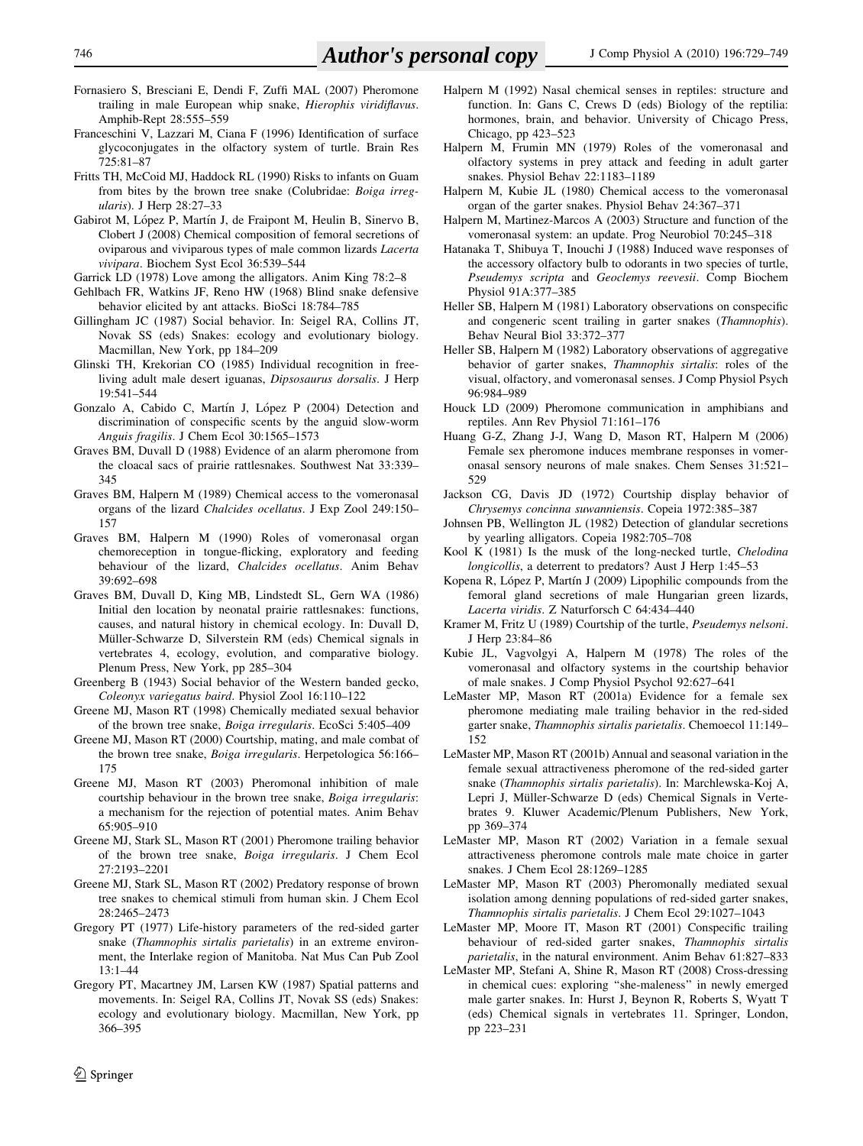- <span id="page-17-0"></span>Fornasiero S, Bresciani E, Dendi F, Zuffi MAL (2007) Pheromone trailing in male European whip snake, Hierophis viridiflavus. Amphib-Rept 28:555–559
- Franceschini V, Lazzari M, Ciana F (1996) Identification of surface glycoconjugates in the olfactory system of turtle. Brain Res 725:81–87
- Fritts TH, McCoid MJ, Haddock RL (1990) Risks to infants on Guam from bites by the brown tree snake (Colubridae: Boiga irregularis). J Herp 28:27–33
- Gabirot M, López P, Martín J, de Fraipont M, Heulin B, Sinervo B, Clobert J (2008) Chemical composition of femoral secretions of oviparous and viviparous types of male common lizards Lacerta vivipara. Biochem Syst Ecol 36:539–544
- Garrick LD (1978) Love among the alligators. Anim King 78:2–8
- Gehlbach FR, Watkins JF, Reno HW (1968) Blind snake defensive behavior elicited by ant attacks. BioSci 18:784–785
- Gillingham JC (1987) Social behavior. In: Seigel RA, Collins JT, Novak SS (eds) Snakes: ecology and evolutionary biology. Macmillan, New York, pp 184–209
- Glinski TH, Krekorian CO (1985) Individual recognition in freeliving adult male desert iguanas, Dipsosaurus dorsalis. J Herp 19:541–544
- Gonzalo A, Cabido C, Martín J, López P (2004) Detection and discrimination of conspecific scents by the anguid slow-worm Anguis fragilis. J Chem Ecol 30:1565–1573
- Graves BM, Duvall D (1988) Evidence of an alarm pheromone from the cloacal sacs of prairie rattlesnakes. Southwest Nat 33:339– 345
- Graves BM, Halpern M (1989) Chemical access to the vomeronasal organs of the lizard Chalcides ocellatus. J Exp Zool 249:150– 157
- Graves BM, Halpern M (1990) Roles of vomeronasal organ chemoreception in tongue-flicking, exploratory and feeding behaviour of the lizard, Chalcides ocellatus. Anim Behav 39:692–698
- Graves BM, Duvall D, King MB, Lindstedt SL, Gern WA (1986) Initial den location by neonatal prairie rattlesnakes: functions, causes, and natural history in chemical ecology. In: Duvall D, Müller-Schwarze D, Silverstein RM (eds) Chemical signals in vertebrates 4, ecology, evolution, and comparative biology. Plenum Press, New York, pp 285–304
- Greenberg B (1943) Social behavior of the Western banded gecko, Coleonyx variegatus baird. Physiol Zool 16:110–122
- Greene MJ, Mason RT (1998) Chemically mediated sexual behavior of the brown tree snake, Boiga irregularis. EcoSci 5:405–409
- Greene MJ, Mason RT (2000) Courtship, mating, and male combat of the brown tree snake, Boiga irregularis. Herpetologica 56:166– 175
- Greene MJ, Mason RT (2003) Pheromonal inhibition of male courtship behaviour in the brown tree snake, Boiga irregularis: a mechanism for the rejection of potential mates. Anim Behav 65:905–910
- Greene MJ, Stark SL, Mason RT (2001) Pheromone trailing behavior of the brown tree snake, Boiga irregularis. J Chem Ecol 27:2193–2201
- Greene MJ, Stark SL, Mason RT (2002) Predatory response of brown tree snakes to chemical stimuli from human skin. J Chem Ecol 28:2465–2473
- Gregory PT (1977) Life-history parameters of the red-sided garter snake (Thamnophis sirtalis parietalis) in an extreme environment, the Interlake region of Manitoba. Nat Mus Can Pub Zool 13:1–44
- Gregory PT, Macartney JM, Larsen KW (1987) Spatial patterns and movements. In: Seigel RA, Collins JT, Novak SS (eds) Snakes: ecology and evolutionary biology. Macmillan, New York, pp 366–395
- Halpern M (1992) Nasal chemical senses in reptiles: structure and function. In: Gans C, Crews D (eds) Biology of the reptilia: hormones, brain, and behavior. University of Chicago Press, Chicago, pp 423–523
- Halpern M, Frumin MN (1979) Roles of the vomeronasal and olfactory systems in prey attack and feeding in adult garter snakes. Physiol Behav 22:1183–1189
- Halpern M, Kubie JL (1980) Chemical access to the vomeronasal organ of the garter snakes. Physiol Behav 24:367–371
- Halpern M, Martinez-Marcos A (2003) Structure and function of the vomeronasal system: an update. Prog Neurobiol 70:245–318
- Hatanaka T, Shibuya T, Inouchi J (1988) Induced wave responses of the accessory olfactory bulb to odorants in two species of turtle, Pseudemys scripta and Geoclemys reevesii. Comp Biochem Physiol 91A:377–385
- Heller SB, Halpern M (1981) Laboratory observations on conspecific and congeneric scent trailing in garter snakes (Thamnophis). Behav Neural Biol 33:372–377
- Heller SB, Halpern M (1982) Laboratory observations of aggregative behavior of garter snakes, Thamnophis sirtalis: roles of the visual, olfactory, and vomeronasal senses. J Comp Physiol Psych 96:984–989
- Houck LD (2009) Pheromone communication in amphibians and reptiles. Ann Rev Physiol 71:161–176
- Huang G-Z, Zhang J-J, Wang D, Mason RT, Halpern M (2006) Female sex pheromone induces membrane responses in vomeronasal sensory neurons of male snakes. Chem Senses 31:521– 529
- Jackson CG, Davis JD (1972) Courtship display behavior of Chrysemys concinna suwanniensis. Copeia 1972:385–387
- Johnsen PB, Wellington JL (1982) Detection of glandular secretions by yearling alligators. Copeia 1982:705–708
- Kool K (1981) Is the musk of the long-necked turtle, Chelodina longicollis, a deterrent to predators? Aust J Herp 1:45–53
- Kopena R, López P, Martín J (2009) Lipophilic compounds from the femoral gland secretions of male Hungarian green lizards, Lacerta viridis. Z Naturforsch C 64:434–440
- Kramer M, Fritz U (1989) Courtship of the turtle, Pseudemys nelsoni. J Herp 23:84–86
- Kubie JL, Vagvolgyi A, Halpern M (1978) The roles of the vomeronasal and olfactory systems in the courtship behavior of male snakes. J Comp Physiol Psychol 92:627–641
- LeMaster MP, Mason RT (2001a) Evidence for a female sex pheromone mediating male trailing behavior in the red-sided garter snake, Thamnophis sirtalis parietalis. Chemoecol 11:149– 152
- LeMaster MP, Mason RT (2001b) Annual and seasonal variation in the female sexual attractiveness pheromone of the red-sided garter snake (Thamnophis sirtalis parietalis). In: Marchlewska-Koj A, Lepri J, Müller-Schwarze D (eds) Chemical Signals in Vertebrates 9. Kluwer Academic/Plenum Publishers, New York, pp 369–374
- LeMaster MP, Mason RT (2002) Variation in a female sexual attractiveness pheromone controls male mate choice in garter snakes. J Chem Ecol 28:1269–1285
- LeMaster MP, Mason RT (2003) Pheromonally mediated sexual isolation among denning populations of red-sided garter snakes, Thamnophis sirtalis parietalis. J Chem Ecol 29:1027–1043
- LeMaster MP, Moore IT, Mason RT (2001) Conspecific trailing behaviour of red-sided garter snakes, Thamnophis sirtalis parietalis, in the natural environment. Anim Behav 61:827–833
- LeMaster MP, Stefani A, Shine R, Mason RT (2008) Cross-dressing in chemical cues: exploring ''she-maleness'' in newly emerged male garter snakes. In: Hurst J, Beynon R, Roberts S, Wyatt T (eds) Chemical signals in vertebrates 11. Springer, London, pp 223–231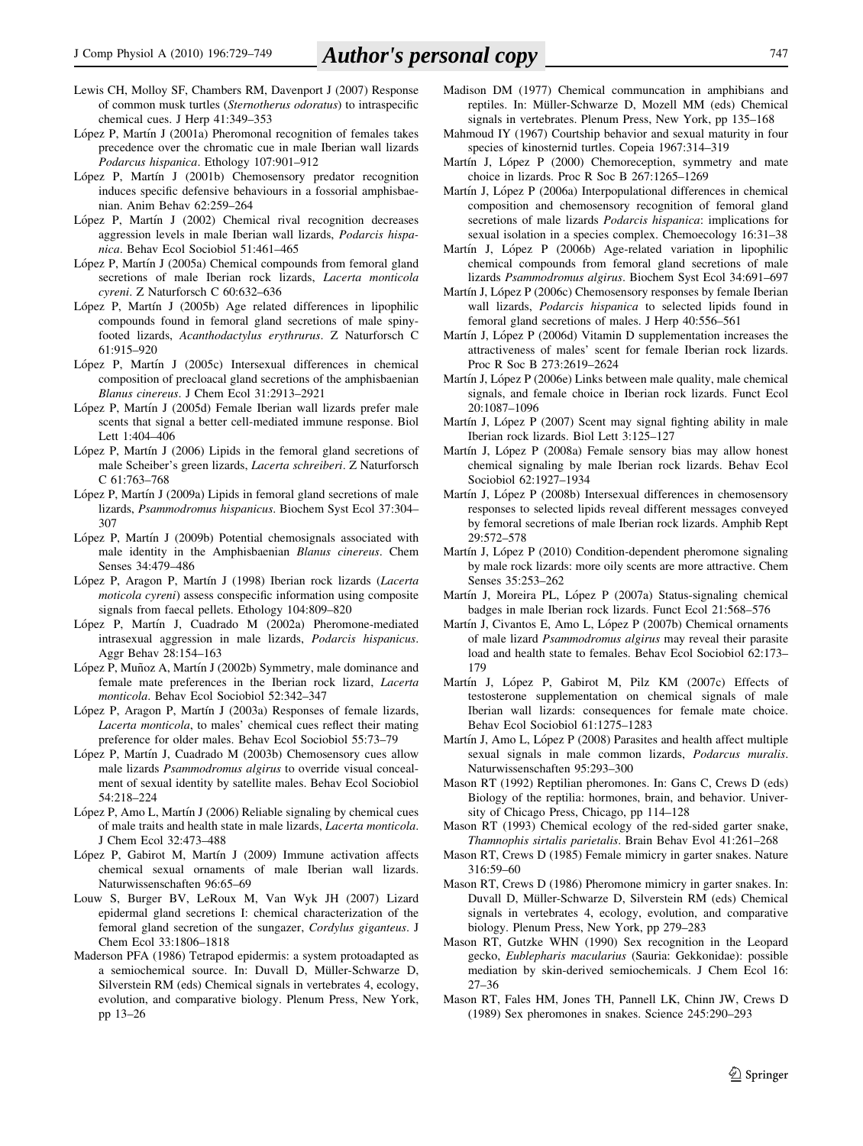- <span id="page-18-0"></span>Lewis CH, Molloy SF, Chambers RM, Davenport J (2007) Response of common musk turtles (Sternotherus odoratus) to intraspecific chemical cues. J Herp 41:349–353
- López P, Martín J (2001a) Pheromonal recognition of females takes precedence over the chromatic cue in male Iberian wall lizards Podarcus hispanica. Ethology 107:901–912
- López P, Martín J (2001b) Chemosensory predator recognition induces specific defensive behaviours in a fossorial amphisbaenian. Anim Behav 62:259–264
- López P, Martín J (2002) Chemical rival recognition decreases aggression levels in male Iberian wall lizards, Podarcis hispanica. Behav Ecol Sociobiol 51:461–465
- López P, Martín J (2005a) Chemical compounds from femoral gland secretions of male Iberian rock lizards, Lacerta monticola cyreni. Z Naturforsch C 60:632–636
- López P, Martín J (2005b) Age related differences in lipophilic compounds found in femoral gland secretions of male spinyfooted lizards, Acanthodactylus erythrurus. Z Naturforsch C 61:915–920
- López P, Martín J (2005c) Intersexual differences in chemical composition of precloacal gland secretions of the amphisbaenian Blanus cinereus. J Chem Ecol 31:2913–2921
- López P, Martín J (2005d) Female Iberian wall lizards prefer male scents that signal a better cell-mediated immune response. Biol Lett 1:404–406
- López P, Martín J (2006) Lipids in the femoral gland secretions of male Scheiber's green lizards, Lacerta schreiberi. Z Naturforsch C 61:763–768
- López P, Martín J (2009a) Lipids in femoral gland secretions of male lizards, Psammodromus hispanicus. Biochem Syst Ecol 37:304– 307
- López P, Martín J (2009b) Potential chemosignals associated with male identity in the Amphisbaenian Blanus cinereus. Chem Senses 34:479–486
- López P, Aragon P, Martín J (1998) Iberian rock lizards (Lacerta moticola cyreni) assess conspecific information using composite signals from faecal pellets. Ethology 104:809–820
- López P, Martín J, Cuadrado M (2002a) Pheromone-mediated intrasexual aggression in male lizards, Podarcis hispanicus. Aggr Behav 28:154–163
- López P, Muñoz A, Martín J (2002b) Symmetry, male dominance and female mate preferences in the Iberian rock lizard, Lacerta monticola. Behav Ecol Sociobiol 52:342–347
- López P, Aragon P, Martín J (2003a) Responses of female lizards, Lacerta monticola, to males' chemical cues reflect their mating preference for older males. Behav Ecol Sociobiol 55:73–79
- López P, Martín J, Cuadrado M (2003b) Chemosensory cues allow male lizards Psammodromus algirus to override visual concealment of sexual identity by satellite males. Behav Ecol Sociobiol 54:218–224
- López P, Amo L, Martín J (2006) Reliable signaling by chemical cues of male traits and health state in male lizards, Lacerta monticola. J Chem Ecol 32:473–488
- López P, Gabirot M, Martín J (2009) Immune activation affects chemical sexual ornaments of male Iberian wall lizards. Naturwissenschaften 96:65–69
- Louw S, Burger BV, LeRoux M, Van Wyk JH (2007) Lizard epidermal gland secretions I: chemical characterization of the femoral gland secretion of the sungazer, Cordylus giganteus. J Chem Ecol 33:1806–1818
- Maderson PFA (1986) Tetrapod epidermis: a system protoadapted as a semiochemical source. In: Duvall D, Müller-Schwarze D, Silverstein RM (eds) Chemical signals in vertebrates 4, ecology, evolution, and comparative biology. Plenum Press, New York, pp 13–26
- Madison DM (1977) Chemical communcation in amphibians and reptiles. In: Müller-Schwarze D, Mozell MM (eds) Chemical signals in vertebrates. Plenum Press, New York, pp 135–168
- Mahmoud IY (1967) Courtship behavior and sexual maturity in four species of kinosternid turtles. Copeia 1967:314–319
- Martín J, López P (2000) Chemoreception, symmetry and mate choice in lizards. Proc R Soc B 267:1265–1269
- Martín J, López P (2006a) Interpopulational differences in chemical composition and chemosensory recognition of femoral gland secretions of male lizards Podarcis hispanica: implications for sexual isolation in a species complex. Chemoecology 16:31–38
- Martín J, López P (2006b) Age-related variation in lipophilic chemical compounds from femoral gland secretions of male lizards Psammodromus algirus. Biochem Syst Ecol 34:691–697
- Martín J, López P (2006c) Chemosensory responses by female Iberian wall lizards, Podarcis hispanica to selected lipids found in femoral gland secretions of males. J Herp 40:556–561
- Martín J, López P (2006d) Vitamin D supplementation increases the attractiveness of males' scent for female Iberian rock lizards. Proc R Soc B 273:2619–2624
- Martín J, López P (2006e) Links between male quality, male chemical signals, and female choice in Iberian rock lizards. Funct Ecol 20:1087–1096
- Martín J, López P (2007) Scent may signal fighting ability in male Iberian rock lizards. Biol Lett 3:125–127
- Martín J, López P (2008a) Female sensory bias may allow honest chemical signaling by male Iberian rock lizards. Behav Ecol Sociobiol 62:1927–1934
- Martín J, López P (2008b) Intersexual differences in chemosensory responses to selected lipids reveal different messages conveyed by femoral secretions of male Iberian rock lizards. Amphib Rept 29:572–578
- Martín J, López P (2010) Condition-dependent pheromone signaling by male rock lizards: more oily scents are more attractive. Chem Senses 35:253–262
- Martín J, Moreira PL, López P (2007a) Status-signaling chemical badges in male Iberian rock lizards. Funct Ecol 21:568–576
- Martín J, Civantos E, Amo L, López P (2007b) Chemical ornaments of male lizard Psammodromus algirus may reveal their parasite load and health state to females. Behav Ecol Sociobiol 62:173– 179
- Martín J, López P, Gabirot M, Pilz KM (2007c) Effects of testosterone supplementation on chemical signals of male Iberian wall lizards: consequences for female mate choice. Behav Ecol Sociobiol 61:1275–1283
- Martín J, Amo L, López P (2008) Parasites and health affect multiple sexual signals in male common lizards, Podarcus muralis. Naturwissenschaften 95:293–300
- Mason RT (1992) Reptilian pheromones. In: Gans C, Crews D (eds) Biology of the reptilia: hormones, brain, and behavior. University of Chicago Press, Chicago, pp 114–128
- Mason RT (1993) Chemical ecology of the red-sided garter snake, Thamnophis sirtalis parietalis. Brain Behav Evol 41:261–268
- Mason RT, Crews D (1985) Female mimicry in garter snakes. Nature 316:59–60
- Mason RT, Crews D (1986) Pheromone mimicry in garter snakes. In: Duvall D, Müller-Schwarze D, Silverstein RM (eds) Chemical signals in vertebrates 4, ecology, evolution, and comparative biology. Plenum Press, New York, pp 279–283
- Mason RT, Gutzke WHN (1990) Sex recognition in the Leopard gecko, Eublepharis macularius (Sauria: Gekkonidae): possible mediation by skin-derived semiochemicals. J Chem Ecol 16: 27–36
- Mason RT, Fales HM, Jones TH, Pannell LK, Chinn JW, Crews D (1989) Sex pheromones in snakes. Science 245:290–293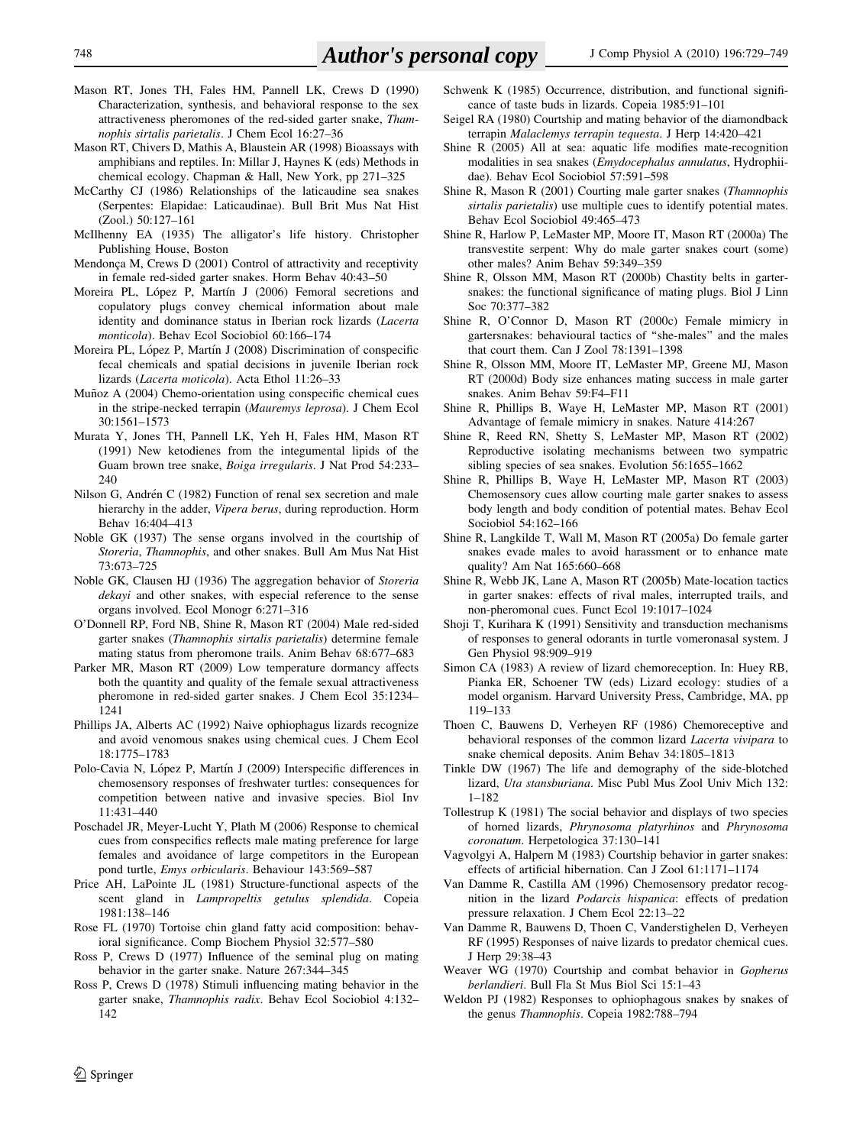- <span id="page-19-0"></span>Mason RT, Jones TH, Fales HM, Pannell LK, Crews D (1990) Characterization, synthesis, and behavioral response to the sex attractiveness pheromones of the red-sided garter snake, Thamnophis sirtalis parietalis. J Chem Ecol 16:27–36
- Mason RT, Chivers D, Mathis A, Blaustein AR (1998) Bioassays with amphibians and reptiles. In: Millar J, Haynes K (eds) Methods in chemical ecology. Chapman & Hall, New York, pp 271–325
- McCarthy CJ (1986) Relationships of the laticaudine sea snakes (Serpentes: Elapidae: Laticaudinae). Bull Brit Mus Nat Hist (Zool.) 50:127–161
- McIlhenny EA (1935) The alligator's life history. Christopher Publishing House, Boston
- Mendonca M, Crews D  $(2001)$  Control of attractivity and receptivity in female red-sided garter snakes. Horm Behav 40:43–50
- Moreira PL, López P, Martín J (2006) Femoral secretions and copulatory plugs convey chemical information about male identity and dominance status in Iberian rock lizards (Lacerta monticola). Behav Ecol Sociobiol 60:166–174
- Moreira PL, López P, Martín J (2008) Discrimination of conspecific fecal chemicals and spatial decisions in juvenile Iberian rock lizards (Lacerta moticola). Acta Ethol 11:26–33
- Muñoz A (2004) Chemo-orientation using conspecific chemical cues in the stripe-necked terrapin (Mauremys leprosa). J Chem Ecol 30:1561–1573
- Murata Y, Jones TH, Pannell LK, Yeh H, Fales HM, Mason RT (1991) New ketodienes from the integumental lipids of the Guam brown tree snake, Boiga irregularis. J Nat Prod 54:233– 240
- Nilson G, Andrén C (1982) Function of renal sex secretion and male hierarchy in the adder, Vipera berus, during reproduction. Horm Behav 16:404–413
- Noble GK (1937) The sense organs involved in the courtship of Storeria, Thamnophis, and other snakes. Bull Am Mus Nat Hist 73:673–725
- Noble GK, Clausen HJ (1936) The aggregation behavior of Storeria dekayi and other snakes, with especial reference to the sense organs involved. Ecol Monogr 6:271–316
- O'Donnell RP, Ford NB, Shine R, Mason RT (2004) Male red-sided garter snakes (Thamnophis sirtalis parietalis) determine female mating status from pheromone trails. Anim Behav 68:677–683
- Parker MR, Mason RT (2009) Low temperature dormancy affects both the quantity and quality of the female sexual attractiveness pheromone in red-sided garter snakes. J Chem Ecol 35:1234– 1241
- Phillips JA, Alberts AC (1992) Naive ophiophagus lizards recognize and avoid venomous snakes using chemical cues. J Chem Ecol 18:1775–1783
- Polo-Cavia N, López P, Martín J (2009) Interspecific differences in chemosensory responses of freshwater turtles: consequences for competition between native and invasive species. Biol Inv 11:431–440
- Poschadel JR, Meyer-Lucht Y, Plath M (2006) Response to chemical cues from conspecifics reflects male mating preference for large females and avoidance of large competitors in the European pond turtle, Emys orbicularis. Behaviour 143:569–587
- Price AH, LaPointe JL (1981) Structure-functional aspects of the scent gland in Lampropeltis getulus splendida. Copeia 1981:138–146
- Rose FL (1970) Tortoise chin gland fatty acid composition: behavioral significance. Comp Biochem Physiol 32:577–580
- Ross P, Crews D (1977) Influence of the seminal plug on mating behavior in the garter snake. Nature 267:344–345
- Ross P, Crews D (1978) Stimuli influencing mating behavior in the garter snake, Thamnophis radix. Behav Ecol Sociobiol 4:132– 142
- Schwenk K (1985) Occurrence, distribution, and functional significance of taste buds in lizards. Copeia 1985:91–101
- Seigel RA (1980) Courtship and mating behavior of the diamondback terrapin Malaclemys terrapin tequesta. J Herp 14:420–421
- Shine R (2005) All at sea: aquatic life modifies mate-recognition modalities in sea snakes (Emydocephalus annulatus, Hydrophiidae). Behav Ecol Sociobiol 57:591–598
- Shine R, Mason R (2001) Courting male garter snakes (Thamnophis sirtalis parietalis) use multiple cues to identify potential mates. Behav Ecol Sociobiol 49:465–473
- Shine R, Harlow P, LeMaster MP, Moore IT, Mason RT (2000a) The transvestite serpent: Why do male garter snakes court (some) other males? Anim Behav 59:349–359
- Shine R, Olsson MM, Mason RT (2000b) Chastity belts in gartersnakes: the functional significance of mating plugs. Biol J Linn Soc 70:377–382
- Shine R, O'Connor D, Mason RT (2000c) Female mimicry in gartersnakes: behavioural tactics of ''she-males'' and the males that court them. Can J Zool 78:1391–1398
- Shine R, Olsson MM, Moore IT, LeMaster MP, Greene MJ, Mason RT (2000d) Body size enhances mating success in male garter snakes. Anim Behav 59:F4–F11
- Shine R, Phillips B, Waye H, LeMaster MP, Mason RT (2001) Advantage of female mimicry in snakes. Nature 414:267
- Shine R, Reed RN, Shetty S, LeMaster MP, Mason RT (2002) Reproductive isolating mechanisms between two sympatric sibling species of sea snakes. Evolution 56:1655–1662
- Shine R, Phillips B, Waye H, LeMaster MP, Mason RT (2003) Chemosensory cues allow courting male garter snakes to assess body length and body condition of potential mates. Behav Ecol Sociobiol 54:162–166
- Shine R, Langkilde T, Wall M, Mason RT (2005a) Do female garter snakes evade males to avoid harassment or to enhance mate quality? Am Nat 165:660–668
- Shine R, Webb JK, Lane A, Mason RT (2005b) Mate-location tactics in garter snakes: effects of rival males, interrupted trails, and non-pheromonal cues. Funct Ecol 19:1017–1024
- Shoji T, Kurihara K (1991) Sensitivity and transduction mechanisms of responses to general odorants in turtle vomeronasal system. J Gen Physiol 98:909–919
- Simon CA (1983) A review of lizard chemoreception. In: Huey RB, Pianka ER, Schoener TW (eds) Lizard ecology: studies of a model organism. Harvard University Press, Cambridge, MA, pp 119–133
- Thoen C, Bauwens D, Verheyen RF (1986) Chemoreceptive and behavioral responses of the common lizard Lacerta vivipara to snake chemical deposits. Anim Behav 34:1805–1813
- Tinkle DW (1967) The life and demography of the side-blotched lizard, Uta stansburiana. Misc Publ Mus Zool Univ Mich 132: 1–182
- Tollestrup K (1981) The social behavior and displays of two species of horned lizards, Phrynosoma platyrhinos and Phrynosoma coronatum. Herpetologica 37:130–141
- Vagvolgyi A, Halpern M (1983) Courtship behavior in garter snakes: effects of artificial hibernation. Can J Zool 61:1171–1174
- Van Damme R, Castilla AM (1996) Chemosensory predator recognition in the lizard Podarcis hispanica: effects of predation pressure relaxation. J Chem Ecol 22:13–22
- Van Damme R, Bauwens D, Thoen C, Vanderstighelen D, Verheyen RF (1995) Responses of naive lizards to predator chemical cues. J Herp 29:38–43
- Weaver WG (1970) Courtship and combat behavior in Gopherus berlandieri. Bull Fla St Mus Biol Sci 15:1–43
- Weldon PJ (1982) Responses to ophiophagous snakes by snakes of the genus Thamnophis. Copeia 1982:788–794